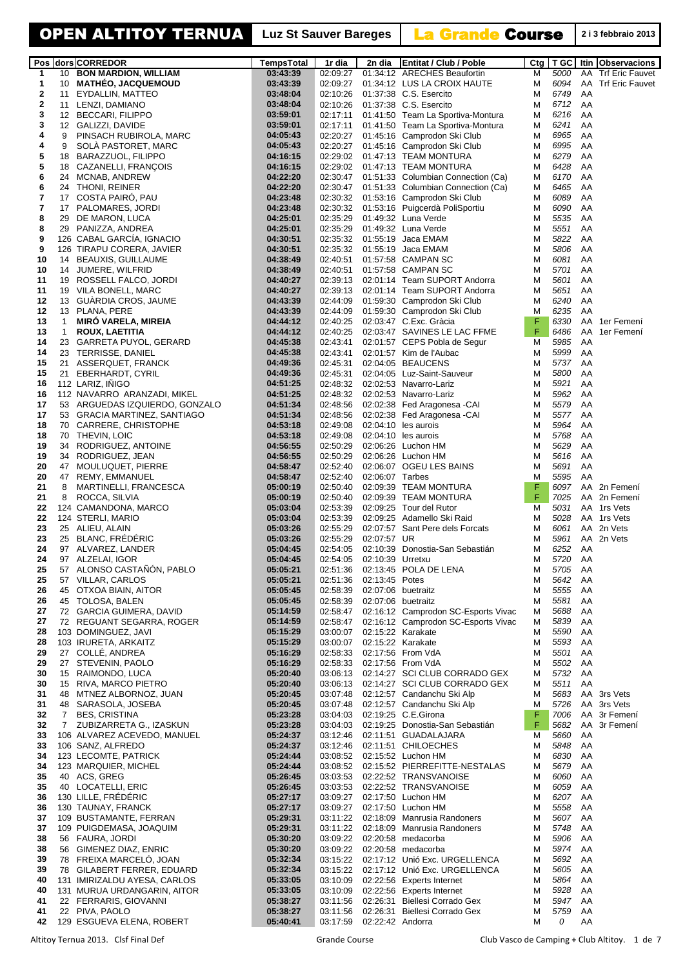| Pos                     |                    | dors CORREDOR                                                 | <b>TempsTotal</b>    | 1r dia               | 2n dia             | <b>Entitat / Club / Poble</b>                                            | Ctg    | T GC         |          | Itin Observacions           |
|-------------------------|--------------------|---------------------------------------------------------------|----------------------|----------------------|--------------------|--------------------------------------------------------------------------|--------|--------------|----------|-----------------------------|
| 1                       |                    | 10 BON MARDION, WILLIAM                                       | 03:43:39             | 02:09:27             |                    | 01:34:12 ARECHES Beaufortin                                              | м      | 5000         | AA       | <b>Trf Eric Fauvet</b>      |
| 1                       | 10                 | <b>MATHEO, JACQUEMOUD</b>                                     | 03:43:39             | 02:09:27             |                    | 01:34:12 LUS LA CROIX HAUTE                                              | M      | 6094         |          | AA Trf Eric Fauvet          |
| 2                       | 11                 | EYDALLIN, MATTEO                                              | 03:48:04             | 02:10:26             |                    | 01:37:38 C.S. Esercito                                                   | M      | 6749         | AA       |                             |
| $\bf{2}$                | 11                 | LENZI, DAMIANO                                                | 03:48:04             | 02:10:26             |                    | 01:37:38 C.S. Esercito                                                   | M      | 6712         | AA       |                             |
| 3                       | 12                 | <b>BECCARI, FILIPPO</b>                                       | 03:59:01             | 02:17:11             |                    | 01:41:50 Team La Sportiva-Montura                                        | M      | 6216         | AA       |                             |
| 3                       | 12                 | GALIZZI, DAVIDE                                               | 03:59:01             | 02:17:11             |                    | 01:41:50 Team La Sportiva-Montura                                        | M      | 6241         | AA       |                             |
| 4                       | 9                  | PINSACH RUBIROLA, MARC                                        | 04:05:43             | 02:20:27             |                    | 01:45:16 Camprodon Ski Club                                              | M      | 6965         | AA       |                             |
| 4                       | 9                  | SOLA PASTORET, MARC                                           | 04:05:43             | 02:20:27             |                    | 01:45:16 Camprodon Ski Club                                              | M      | 6995         | AA       |                             |
| 5                       | 18                 | BARAZZUOL, FILIPPO                                            | 04:16:15             | 02:29:02             |                    | 01:47:13 TEAM MONTURA                                                    | M      | 6279         | AA       |                             |
| 5<br>6                  | 18                 | CAZANELLI, FRANÇOIS                                           | 04:16:15             | 02:29:02<br>02:30:47 |                    | 01:47:13 TEAM MONTURA                                                    | M      | 6428         | AA       |                             |
| 6                       | 24<br>24           | MCNAB, ANDREW                                                 | 04:22:20<br>04:22:20 | 02:30:47             |                    | 01:51:33 Columbian Connection (Ca)<br>01:51:33 Columbian Connection (Ca) | M<br>M | 6170<br>6465 | AA<br>AA |                             |
| $\overline{\mathbf{r}}$ | 17                 | THONI, REINER<br>COSTA PAIRO, PAU                             | 04:23:48             | 02:30:32             |                    | 01:53:16 Camprodon Ski Club                                              | M      | 6089         | AA       |                             |
| 7                       | 17                 | PALOMARES, JORDI                                              | 04:23:48             | 02:30:32             |                    | 01:53:16 Puigcerdà PoliSportiu                                           | M      | 6090         | AA       |                             |
| 8                       | 29                 | DE MARON, LUCA                                                | 04:25:01             | 02:35:29             |                    | 01:49:32 Luna Verde                                                      | M      | 5535         | AA       |                             |
| 8                       | 29                 | PANIZZA, ANDREA                                               | 04:25:01             | 02:35:29             |                    | 01:49:32 Luna Verde                                                      | M      | 5551         | AA       |                             |
| 9                       |                    | 126 CABAL GARCIA, IGNACIO                                     | 04:30:51             | 02:35:32             |                    | 01:55:19 Jaca EMAM                                                       | M      | 5822         | AA       |                             |
| 9                       |                    | 126 TIRAPU CORERA, JAVIER                                     | 04:30:51             | 02:35:32             |                    | 01:55:19 Jaca EMAM                                                       | M      | 5806         | AA       |                             |
| 10                      | 14                 | <b>BEAUXIS, GUILLAUME</b>                                     | 04:38:49             | 02:40:51             |                    | 01:57:58 CAMPAN SC                                                       | M      | 6081         | AA       |                             |
| 10                      | 14                 | JUMERE, WILFRID                                               | 04:38:49             | 02:40:51             |                    | 01:57:58 CAMPAN SC                                                       | M      | 5701         | AA       |                             |
| 11                      | 19                 | ROSSELL FALCO, JORDI                                          | 04:40:27             | 02:39:13             |                    | 02:01:14 Team SUPORT Andorra                                             | M      | 5601         | AA       |                             |
| 11                      |                    | 19 VILA BONELL, MARC                                          | 04:40:27             | 02:39:13             |                    | 02:01:14 Team SUPORT Andorra                                             | M      | 5651         | AA       |                             |
| 12                      |                    | 13 GUARDIA CROS, JAUME                                        | 04:43:39             | 02:44:09             |                    | 01:59:30 Camprodon Ski Club                                              | M      | 6240         | AA       |                             |
| 12                      |                    | 13 PLANA, PERE                                                | 04:43:39             | 02:44:09             |                    | 01:59:30 Camprodon Ski Club                                              | M      | 6235         | AA       |                             |
| 13                      | $\mathbf{1}$       | <b>MIRO VARELA, MIREIA</b>                                    | 04:44:12             | 02:40:25             |                    | 02:03:47 C.Exc. Gràcia                                                   | F      | 6330         | AA       | 1er Femení                  |
| 13                      | $\mathbf{1}$       | <b>ROUX, LAETITIA</b>                                         | 04:44:12             | 02:40:25             |                    | 02:03:47 SAVINES LE LAC FFME                                             | F      | 6486         | AA       | 1er Femení                  |
| 14                      |                    | 23 GARRETA PUYOL, GERARD                                      | 04:45:38             | 02:43:41             |                    | 02:01:57 CEPS Pobla de Segur                                             | м      | 5985         | AA       |                             |
| 14                      |                    | 23 TERRISSE, DANIEL                                           | 04:45:38             | 02:43:41             |                    | 02:01:57 Kim de l'Aubac                                                  | M      | 5999         | AA       |                             |
| 15                      | 21                 | ASSERQUET, FRANCK                                             | 04:49:36             | 02:45:31             |                    | 02:04:05 BEAUCENS                                                        | M      | 5737         | AA       |                             |
| 15                      | 21                 | EBERHARDT, CYRIL                                              | 04:49:36             | 02:45:31             |                    | 02:04:05 Luz-Saint-Sauveur                                               | M      | 5800         | AA       |                             |
| 16                      |                    | 112 LARIZ, INIGO                                              | 04:51:25             | 02:48:32             |                    | 02:02:53 Navarro-Lariz                                                   | M      | 5921         | AA       |                             |
| 16<br>17                |                    | 112 NAVARRO ARANZADI, MIKEL<br>53 ARGUEDAS IZQUIERDO, GONZALO | 04:51:25<br>04:51:34 | 02:48:32<br>02:48:56 |                    | 02:02:53 Navarro-Lariz<br>02:02:38 Fed Aragonesa - CAI                   | M<br>M | 5962<br>5579 | AA<br>AA |                             |
| 17                      |                    | 53 GRACIA MARTINEZ, SANTIAGO                                  | 04:51:34             | 02:48:56             |                    | 02:02:38 Fed Aragonesa - CAI                                             | M      | 5577         | AA       |                             |
| 18                      |                    | 70 CARRERE, CHRISTOPHE                                        | 04:53:18             | 02:49:08             |                    | $02:04:10$ les aurois                                                    | M      | 5964         | AA       |                             |
| 18                      |                    | 70 THEVIN, LOIC                                               | 04:53:18             | 02:49:08             |                    | $02:04:10$ les aurois                                                    | M      | 5768         | AA       |                             |
| 19                      | 34                 | RODRIGUEZ, ANTOINE                                            | 04:56:55             | 02:50:29             |                    | 02:06:26 Luchon HM                                                       | M      | 5629         | AA       |                             |
| 19                      | 34                 | RODRIGUEZ, JEAN                                               | 04:56:55             | 02:50:29             |                    | 02:06:26 Luchon HM                                                       | M      | 5616         | AA       |                             |
| 20                      | 47                 | MOULUQUET, PIERRE                                             | 04:58:47             | 02:52:40             |                    | 02:06:07 OGEU LES BAINS                                                  | M      | 5691         | AA       |                             |
| 20                      | 47                 | <b>REMY, EMMANUEL</b>                                         | 04:58:47             | 02:52:40             | 02:06:07 Tarbes    |                                                                          | M      | 5595         | AA       |                             |
| 21                      | 8                  | MARTINELLI, FRANCESCA                                         | 05:00:19             | 02:50:40             |                    | 02:09:39 TEAM MONTURA                                                    | F      | 6097         |          | AA 2n Femení                |
| 21                      | 8                  | ROCCA, SILVIA                                                 | 05:00:19             | 02:50:40             |                    | 02:09:39 TEAM MONTURA                                                    | F      | 7025         |          | AA 2n Femení                |
| 22                      |                    | 124 CAMANDONA, MARCO                                          | 05:03:04             | 02:53:39             |                    | 02:09:25 Tour del Rutor                                                  | м      | 5031         |          | AA 1rs Vets                 |
| 22                      |                    | 124 STERLI, MARIO                                             | 05:03:04             | 02:53:39             |                    | 02:09:25 Adamello Ski Raid                                               | M      | 5028         |          | AA 1rs Vets                 |
| 23                      |                    | 25 ALIEU, ALAIN                                               | 05:03:26             | 02:55:29             |                    | 02:07:57 Sant Pere dels Forcats                                          | M      | 6061         |          | AA 2n Vets                  |
| 23                      |                    | 25 BLANC, FREDERIC                                            | 05:03:26             | 02:55:29             | 02:07:57 UR        |                                                                          | M      | 5961         |          | AA 2n Vets                  |
| 24                      |                    | 97 ALVAREZ, LANDER                                            | 05:04:45             | 02:54:05             |                    | 02:10:39 Donostia-San Sebastián                                          | M      | 6252         | AA       |                             |
| 24                      |                    | 97 ALZELAI, IGOR<br>ALONSO CASTAÑÓN, PABLO                    | 05:04:45             | 02:54:05             | 02:10:39 Urretxu   | 02:13:45 POLA DE LENA                                                    | M      | 5720         | AA       |                             |
| 25<br>25                | 57                 | 57 VILLAR, CARLOS                                             | 05:05:21<br>05:05:21 | 02:51:36<br>02:51:36 | 02:13:45 Potes     |                                                                          | M<br>M | 5705<br>5642 | AA<br>AA |                             |
| 26                      | 45                 | OTXOA BIAIN, AITOR                                            | 05:05:45             | 02:58:39             |                    | 02:07:06 buetraitz                                                       | M      | 5555         | AA       |                             |
| 26                      |                    | 45 TOLOSA, BALEN                                              | 05:05:45             | 02:58:39             | 02:07:06 buetraitz |                                                                          | M      | 5581         | AA       |                             |
| 27                      |                    | 72 GARCIA GUIMERA, DAVID                                      | 05:14:59             | 02:58:47             |                    | 02:16:12 Camprodon SC-Esports Vivac                                      | M      | 5688         | AA       |                             |
| 27                      |                    | 72 REGUANT SEGARRA, ROGER                                     | 05:14:59             | 02:58:47             |                    | 02:16:12 Camprodon SC-Esports Vivac                                      | M      | 5839         | AA       |                             |
| 28                      |                    | 103 DOMINGUEZ, JAVI                                           | 05:15:29             | 03:00:07             |                    | 02:15:22 Karakate                                                        | M      | 5590         | AA       |                             |
| 28                      |                    | 103 IRURETA, ARKAITZ                                          | 05:15:29             | 03:00:07             |                    | 02:15:22 Karakate                                                        | M      | 5593         | AA       |                             |
| 29                      |                    | 27 COLLE, ANDREA                                              | 05:16:29             | 02:58:33             |                    | 02:17:56 From VdA                                                        | M      | 5501         | AA       |                             |
| 29                      | 27                 | STEVENIN, PAOLO                                               | 05:16:29             | 02:58:33             |                    | 02:17:56 From VdA                                                        | M      | 5502         | AA       |                             |
| 30                      |                    | 15 RAIMONDO, LUCA                                             | 05:20:40             | 03:06:13             |                    | 02:14:27 SCI CLUB CORRADO GEX                                            | M      | 5732         | AA       |                             |
| 30                      | 15                 | RIVA, MARCO PIETRO                                            | 05:20:40             | 03:06:13             |                    | 02:14:27 SCI CLUB CORRADO GEX                                            | M      | 5511         | AA       |                             |
| 31                      | 48                 | MTNEZ ALBORNOZ, JUAN                                          | 05:20:45             | 03:07:48             |                    | 02:12:57 Candanchu Ski Alp                                               | M      | 5683         |          | AA 3rs Vets                 |
| 31<br>32                | 48<br>$\mathbf{7}$ | SARASOLA, JOSEBA<br><b>BES, CRISTINA</b>                      | 05:20:45             | 03:07:48<br>03:04:03 |                    | 02:12:57 Candanchu Ski Alp<br>02:19:25 C.E.Girona                        | M<br>F | 5726<br>7006 |          | AA 3rs Vets<br>AA 3r Femení |
| 32                      | $\overline{7}$     | ZUBIZARRETA G., IZASKUN                                       | 05:23:28<br>05:23:28 | 03:04:03             |                    | 02:19:25 Donostia-San Sebastián                                          | F      | 5682         |          | AA 3r Femení                |
| 33                      |                    | 106 ALVAREZ ACEVEDO, MANUEL                                   | 05:24:37             | 03:12:46             |                    | 02:11:51 GUADALAJARA                                                     | м      | 5660         | AA       |                             |
| 33                      |                    | 106 SANZ, ALFREDO                                             | 05:24:37             | 03:12:46             |                    | 02:11:51 CHILOECHES                                                      | M      | 5848         | AA       |                             |
| 34                      |                    | 123 LECOMTE, PATRICK                                          | 05:24:44             | 03:08:52             |                    | 02:15:52 Luchon HM                                                       | M      | 6830         | AA       |                             |
| 34                      |                    | 123 MARQUIER, MICHEL                                          | 05:24:44             | 03:08:52             |                    | 02:15:52 PIERREFITTE-NESTALAS                                            | M      | 5679         | AA       |                             |
| 35                      |                    | 40 ACS, GREG                                                  | 05:26:45             | 03:03:53             |                    | 02:22:52 TRANSVANOISE                                                    | M      | 6060         | AA       |                             |
| 35                      |                    | 40 LOCATELLI, ERIC                                            | 05:26:45             | 03:03:53             |                    | 02:22:52 TRANSVANOISE                                                    | M      | 6059         | AA       |                             |
| 36                      |                    | 130 LILLE, FREDERIC                                           | 05:27:17             | 03:09:27             |                    | 02:17:50 Luchon HM                                                       | M      | 6207         | AA       |                             |
| 36                      |                    | 130 TAUNAY, FRANCK                                            | 05:27:17             | 03:09:27             |                    | 02:17:50 Luchon HM                                                       | M      | 5558         | AA       |                             |
| 37                      |                    | 109 BUSTAMANTE, FERRAN                                        | 05:29:31             | 03:11:22             |                    | 02:18:09 Manrusia Randoners                                              | M      | 5607         | AA       |                             |
| 37                      |                    | 109 PUIGDEMASA, JOAQUIM                                       | 05:29:31             | 03:11:22             |                    | 02:18:09 Manrusia Randoners                                              | M      | 5748         | AA       |                             |
| 38                      |                    | 56 FAURA, JORDI                                               | 05:30:20             | 03:09:22             |                    | 02:20:58 medacorba                                                       | M      | 5906         | AA       |                             |
| 38                      |                    | 56 GIMENEZ DIAZ, ENRIC                                        | 05:30:20             | 03:09:22             |                    | 02:20:58 medacorba                                                       | M      | 5974         | AA       |                             |
| 39                      |                    | 78 FREIXA MARCELO, JOAN                                       | 05:32:34             | 03:15:22             |                    | 02:17:12 Unió Exc. URGELLENCA                                            | M      | 5692         | AA       |                             |
| 39                      |                    | 78 GILABERT FERRER, EDUARD                                    | 05:32:34             | 03:15:22             |                    | 02:17:12 Unió Exc. URGELLENCA                                            | M      | 5605         | AA       |                             |
| 40                      |                    | 131 IMIRIZALDU AYESA, CARLOS                                  | 05:33:05             | 03:10:09             |                    | 02:22:56 Experts Internet                                                | M      | 5864         | AA       |                             |
| 40                      |                    | 131 MURUA URDANGARIN, AITOR                                   | 05:33:05             | 03:10:09             |                    | 02:22:56 Experts Internet                                                | M      | 5928         | AA       |                             |
| 41<br>41                |                    | 22 FERRARIS, GIOVANNI<br>22 PIVA, PAOLO                       | 05:38:27<br>05:38:27 | 03:11:56<br>03:11:56 |                    | 02:26:31 Biellesi Corrado Gex<br>02:26:31 Biellesi Corrado Gex           | M<br>M | 5947<br>5759 | AA<br>AA |                             |
| 42                      |                    | 129 ESGUEVA ELENA, ROBERT                                     | 05:40:41             | 03:17:59             | 02:22:42 Andorra   |                                                                          | м      | 0            | AA       |                             |
|                         |                    |                                                               |                      |                      |                    |                                                                          |        |              |          |                             |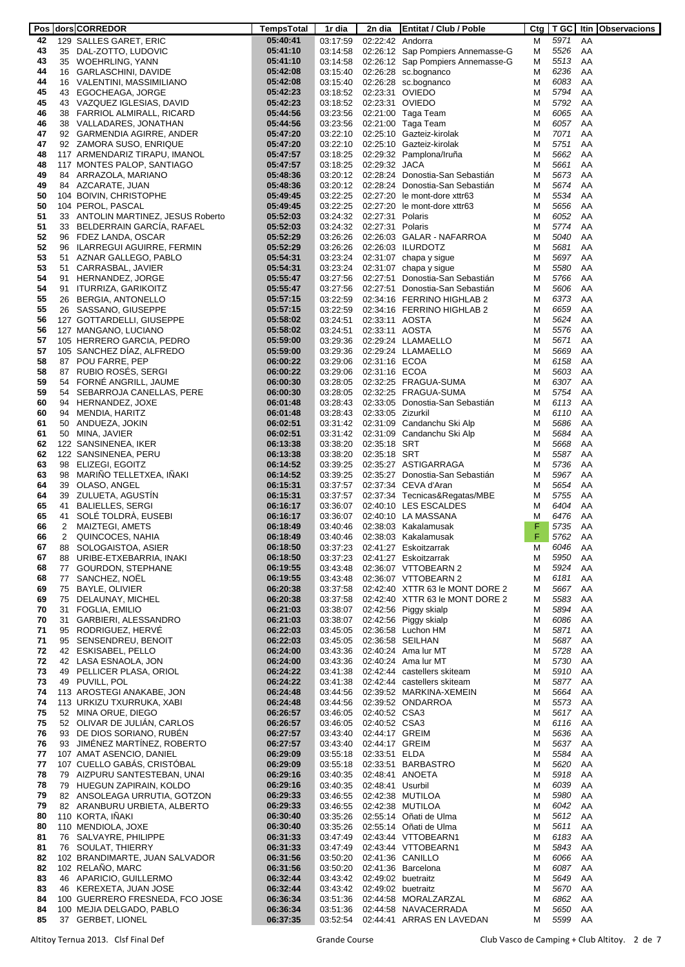|    |    | Pos   dors   CORREDOR              | TempsTotal | 1r dia   | 2n dia             | Entitat / Club / Poble                 |   |         |    | Ctg   T GC   Itin   Observacions |
|----|----|------------------------------------|------------|----------|--------------------|----------------------------------------|---|---------|----|----------------------------------|
| 42 |    | 129 SALLES GARET, ERIC             | 05:40:41   | 03:17:59 | 02:22:42 Andorra   |                                        | M | 5971    | AA |                                  |
| 43 |    | 35 DAL-ZOTTO, LUDOVIC              | 05:41:10   | 03:14:58 |                    | 02:26:12 Sap Pompiers Annemasse-G      | М | 5526    | AA |                                  |
| 43 |    | 35 WOEHRLING, YANN                 | 05:41:10   | 03:14:58 |                    | 02:26:12 Sap Pompiers Annemasse-G      | М | 5513    | AA |                                  |
| 44 |    | 16 GARLASCHINI, DAVIDE             | 05:42:08   | 03:15:40 |                    | 02:26:28 sc.bognanco                   | M | 6236    | AA |                                  |
|    |    |                                    |            |          |                    |                                        |   |         |    |                                  |
| 44 |    | 16 VALENTINI, MASSIMILIANO         | 05:42:08   | 03:15:40 |                    | 02:26:28 sc.bognanco                   | M | 6083    | AA |                                  |
| 45 |    | 43 EGOCHEAGA, JORGE                | 05:42:23   | 03:18:52 |                    | 02:23:31 OVIEDO                        | М | 5794    | AA |                                  |
| 45 |    | 43 VAZQUEZ IGLESIAS, DAVID         | 05:42:23   | 03:18:52 |                    | 02:23:31 OVIEDO                        | M | 5792    | AA |                                  |
| 46 |    | 38 FARRIOL ALMIRALL, RICARD        | 05:44:56   | 03:23:56 |                    | 02:21:00 Taga Team                     | M | 6065    | AA |                                  |
| 46 |    | 38 VALLADARES, JONATHAN            | 05:44:56   | 03:23:56 |                    | 02:21:00 Taga Team                     | M | 6057    | AA |                                  |
| 47 |    | 92 GARMENDIA AGIRRE, ANDER         | 05:47:20   | 03:22:10 |                    | 02:25:10 Gazteiz-kirolak               | M | 7071    | AA |                                  |
| 47 |    | 92 ZAMORA SUSO, ENRIQUE            | 05:47:20   | 03:22:10 |                    | 02:25:10 Gazteiz-kirolak               | M | 5751    | AA |                                  |
| 48 |    |                                    |            |          |                    | 02:29:32 Pamplona/Iruña                | M | 5662    | AA |                                  |
|    |    | 117 ARMENDARIZ TIRAPU, IMANOL      | 05:47:57   | 03:18:25 |                    |                                        |   |         |    |                                  |
| 48 |    | 117 MONTES PALOP, SANTIAGO         | 05:47:57   | 03:18:25 | 02:29:32 JACA      |                                        | M | 5661    | AA |                                  |
| 49 |    | 84 ARRAZOLA, MARIANO               | 05:48:36   | 03:20:12 |                    | 02:28:24 Donostia-San Sebastián        | M | 5673    | AA |                                  |
| 49 |    | 84 AZCARATE, JUAN                  | 05:48:36   | 03:20:12 |                    | 02:28:24 Donostia-San Sebastián        | M | 5674    | AA |                                  |
| 50 |    | 104 BOIVIN, CHRISTOPHE             | 05:49:45   | 03:22:25 |                    | 02:27:20 le mont-dore xttr63           | M | 5534    | AA |                                  |
| 50 |    | 104 PEROL, PASCAL                  | 05:49:45   | 03:22:25 |                    | 02:27:20 le mont-dore xttr63           | M | 5656    | AA |                                  |
| 51 |    | 33 ANTOLIN MARTINEZ, JESUS Roberto | 05:52:03   | 03:24:32 | 02:27:31 Polaris   |                                        | M | 6052    | AA |                                  |
| 51 |    | 33 BELDERRAIN GARCIA, RAFAEL       | 05:52:03   | 03:24:32 | 02:27:31 Polaris   |                                        | M | 5774    | AA |                                  |
| 52 |    | 96 FDEZ LANDA, OSCAR               | 05:52:29   | 03:26:26 |                    | 02:26:03 GALAR - NAFARROA              | M | 5040    | AA |                                  |
|    |    |                                    |            |          |                    |                                        |   |         |    |                                  |
| 52 |    | 96 ILARREGUI AGUIRRE, FERMIN       | 05:52:29   | 03:26:26 |                    | 02:26:03 ILURDOTZ                      | M | 5681    | AA |                                  |
| 53 |    | 51 AZNAR GALLEGO, PABLO            | 05:54:31   | 03:23:24 |                    | $02:31:07$ chapa y sigue               | M | 5697    | AA |                                  |
| 53 | 51 | CARRASBAL, JAVIER                  | 05:54:31   | 03:23:24 |                    | $02:31:07$ chapa y sigue               | M | 5580    | AA |                                  |
| 54 | 91 | HERNANDEZ, JORGE                   | 05:55:47   | 03:27:56 |                    | 02:27:51 Donostia-San Sebastián        | M | 5766    | AA |                                  |
| 54 | 91 | ITURRIZA, GARIKOITZ                | 05:55:47   | 03:27:56 |                    | 02:27:51 Donostia-San Sebastián        | M | 5606    | AA |                                  |
| 55 | 26 | BERGIA, ANTONELLO                  | 05:57:15   | 03:22:59 |                    | 02:34:16 FERRINO HIGHLAB 2             | M | 6373    | AA |                                  |
| 55 |    | 26 SASSANO, GIUSEPPE               | 05:57:15   | 03:22:59 |                    | 02:34:16 FERRINO HIGHLAB 2             | M | 6659    | AA |                                  |
| 56 |    | 127 GOTTARDELLI, GIUSEPPE          | 05:58:02   | 03:24:51 | 02:33:11 AOSTA     |                                        | M | 5624    | AA |                                  |
|    |    |                                    |            |          |                    |                                        |   |         |    |                                  |
| 56 |    | 127 MANGANO, LUCIANO               | 05:58:02   | 03:24:51 | 02:33:11 AOSTA     |                                        | M | 5576    | AA |                                  |
| 57 |    | 105 HERRERO GARCIA, PEDRO          | 05:59:00   | 03:29:36 |                    | 02:29:24 LLAMAELLO                     | M | 5671    | AA |                                  |
| 57 |    | 105 SANCHEZ DIAZ, ALFREDO          | 05:59:00   | 03:29:36 |                    | 02:29:24 LLAMAELLO                     | M | 5669    | AA |                                  |
| 58 | 87 | POU FARRE, PEP                     | 06:00:22   | 03:29:06 | 02:31:16 ECOA      |                                        | M | 6158    | AA |                                  |
| 58 |    | 87 RUBIO ROSES, SERGI              | 06:00:22   | 03:29:06 | 02:31:16 ECOA      |                                        | M | 5603    | AA |                                  |
| 59 | 54 | FORNE ANGRILL, JAUME               | 06:00:30   | 03:28:05 |                    | 02:32:25 FRAGUA-SUMA                   | M | 6307    | AA |                                  |
| 59 |    | 54 SEBARROJA CANELLAS, PERE        | 06:00:30   | 03:28:05 |                    | 02:32:25 FRAGUA-SUMA                   | M | 5754    | AA |                                  |
| 60 |    | 94 HERNANDEZ, JOXE                 | 06:01:48   | 03:28:43 |                    | 02:33:05 Donostia-San Sebastián        | M | 6113    | AA |                                  |
|    |    |                                    |            |          |                    |                                        |   |         |    |                                  |
| 60 | 94 | MENDIA, HARITZ                     | 06:01:48   | 03:28:43 | 02:33:05 Zizurkil  |                                        | M | 6110    | AA |                                  |
| 61 |    | 50 ANDUEZA, JOKIN                  | 06:02:51   | 03:31:42 |                    | 02:31:09 Candanchu Ski Alp             | M | 5686    | AA |                                  |
| 61 |    | 50 MINA, JAVIER                    | 06:02:51   | 03:31:42 |                    | 02:31:09 Candanchu Ski Alp             | M | 5684    | AA |                                  |
| 62 |    | 122 SANSINENEA, IKER               | 06:13:38   | 03:38:20 | 02:35:18 SRT       |                                        | M | 5668    | AA |                                  |
| 62 |    | 122 SANSINENEA, PERU               | 06:13:38   | 03:38:20 | 02:35:18 SRT       |                                        | M | 5587    | AA |                                  |
| 63 |    | 98 ELIZEGI, EGOITZ                 | 06:14:52   | 03:39:25 |                    | 02:35:27 ASTIGARRAGA                   | M | 5736    | AA |                                  |
| 63 |    | 98 MARINO TELLETXEA, INAKI         | 06:14:52   | 03:39:25 |                    | 02:35:27 Donostia-San Sebastián        | M | 5967    | AA |                                  |
| 64 |    | 39 OLASO, ANGEL                    | 06:15:31   | 03:37:57 |                    | 02:37:34 CEVA d'Aran                   | M | 5654    | AA |                                  |
|    |    |                                    |            |          |                    |                                        |   |         |    |                                  |
| 64 |    | 39 ZULUETA, AGUSTIN                | 06:15:31   | 03:37:57 |                    | 02:37:34 Tecnicas&Regatas/MBE          | M | 5755    | AA |                                  |
| 65 | 41 | <b>BALIELLES, SERGI</b>            | 06:16:17   | 03:36:07 |                    | 02:40:10 LES ESCALDES                  | M | 6404    | AA |                                  |
| 65 | 41 | SOLE TOLDRA, EUSEBI                | 06:16:17   | 03:36:07 |                    | 02:40:10 LA MASSANA                    | M | 6476    | AA |                                  |
| 66 | 2  | MAIZTEGI, AMETS                    | 06:18:49   | 03:40:46 |                    | 02:38:03 Kakalamusak                   | F | 5735    | AA |                                  |
| 66 | 2  | QUINCOCES, NAHIA                   | 06:18:49   | 03:40:46 |                    | 02:38:03 Kakalamusak                   | F | 5762    | AA |                                  |
| 67 | 88 | SOLOGAISTOA, ASIER                 | 06:18:50   | 03:37:23 |                    | 02:41:27 Eskoitzarrak                  | Μ | 6046    | AA |                                  |
| 67 | 88 | URIBE-ETXEBARRIA, INAKI            | 06:18:50   | 03:37:23 |                    | 02:41:27 Eskoitzarrak                  | M | 5950    | AA |                                  |
| 68 | 77 | <b>GOURDON, STEPHANE</b>           | 06:19:55   | 03:43:48 |                    | 02:36:07 VTTOBEARN 2                   | М | 5924    | AA |                                  |
| 68 | 77 | SANCHEZ, NOEL                      | 06:19:55   | 03:43:48 |                    | 02:36:07 VTTOBEARN 2                   | М | 6181    | AA |                                  |
|    |    | <b>BAYLE, OLIVIER</b>              |            |          |                    | 02:42:40 XTTR 63 le MONT DORE 2        |   |         |    |                                  |
| 69 | 75 |                                    | 06:20:38   | 03:37:58 |                    |                                        | М | 5667    | AA |                                  |
| 69 |    | 75 DELAUNAY, MICHEL                | 06:20:38   | 03:37:58 |                    | 02:42:40 XTTR 63 le MONT DORE 2        | М | 5583    | AA |                                  |
| 70 | 31 | FOGLIA, EMILIO                     | 06:21:03   | 03:38:07 |                    | 02:42:56 Piggy skialp                  | М | 5894    | AA |                                  |
| 70 | 31 | GARBIERI, ALESSANDRO               | 06:21:03   | 03:38:07 |                    | 02:42:56 Piggy skialp                  | М | 6086    | AA |                                  |
| 71 | 95 | RODRIGUEZ, HERVÉ                   | 06:22:03   | 03:45:05 |                    | 02:36:58 Luchon HM                     | М | 5871    | AA |                                  |
| 71 | 95 | SENSENDREU, BENOIT                 | 06:22:03   | 03:45:05 |                    | 02:36:58 SEILHAN                       | М | 5687    | AA |                                  |
| 72 | 42 | ESKISABEL, PELLO                   | 06:24:00   | 03:43:36 |                    | 02:40:24 Ama lur MT                    | М | 5728    | AA |                                  |
| 72 |    | 42 LASA ESNAOLA, JON               | 06:24:00   | 03:43:36 |                    | 02:40:24 Ama lur MT                    | М | 5730    | AA |                                  |
| 73 |    | 49 PELLICER PLASA, ORIOL           | 06:24:22   | 03:41:38 |                    | 02:42:44 castellers skiteam            | М | 5910    | AA |                                  |
| 73 |    | 49 PUVILL, POL                     | 06:24:22   | 03:41:38 |                    | 02:42:44 castellers skiteam            | М | 5877    | AA |                                  |
| 74 |    | 113 AROSTEGI ANAKABE, JON          | 06:24:48   | 03:44:56 |                    | 02:39:52 MARKINA-XEMEIN                | М | 5664    | AA |                                  |
|    |    |                                    |            |          |                    |                                        |   |         |    |                                  |
| 74 |    | 113 URKIZU TXURRUKA, XABI          | 06:24:48   | 03:44:56 |                    | 02:39:52 ONDARROA                      | М | 5573    | AA |                                  |
| 75 |    | 52 MINA ORUE, DIEGO                | 06:26:57   | 03:46:05 | 02:40:52 CSA3      |                                        | М | 5617    | AA |                                  |
| 75 |    | 52 OLIVAR DE JULIAN, CARLOS        | 06:26:57   | 03:46:05 | 02:40:52 CSA3      |                                        | М | 6116    | AA |                                  |
| 76 |    | 93 DE DIOS SORIANO, RUBÉN          | 06:27:57   | 03:43:40 | 02:44:17 GREIM     |                                        | М | 5636    | AA |                                  |
| 76 |    | 93 JIMENEZ MARTINEZ, ROBERTO       | 06:27:57   | 03:43:40 | 02:44:17 GREIM     |                                        | М | 5637    | AA |                                  |
| 77 |    | 107 AMAT ASENCIO, DANIEL           | 06:29:09   | 03:55:18 | 02:33:51 ELDA      |                                        | М | 5584    | AA |                                  |
| 77 |    | 107 CUELLO GABAS, CRISTOBAL        | 06:29:09   | 03:55:18 |                    | 02:33:51 BARBASTRO                     | М | 5620    | AA |                                  |
| 78 |    | 79 AIZPURU SANTESTEBAN, UNAI       | 06:29:16   | 03:40:35 |                    | 02:48:41 ANOETA                        | М | 5918    | AA |                                  |
| 78 |    | 79 HUEGUN ZAPIRAIN, KOLDO          | 06:29:16   | 03:40:35 | 02:48:41 Usurbil   |                                        | М | 6039    | AA |                                  |
|    |    |                                    |            |          |                    |                                        |   | 5980    |    |                                  |
| 79 |    | 82 ANSOLEAGA URRUTIA, GOTZON       | 06:29:33   | 03:46:55 |                    | 02:42:38 MUTILOA                       | М |         | AA |                                  |
| 79 |    | 82 ARANBURU URBIETA, ALBERTO       | 06:29:33   | 03:46:55 |                    | 02:42:38 MUTILOA                       | М | 6042    | AA |                                  |
| 80 |    | 110 KORTA, INAKI                   | 06:30:40   | 03:35:26 |                    | 02:55:14 Oñati de Ulma                 | М | 5612    | AA |                                  |
| 80 |    | 110 MENDIOLA, JOXE                 | 06:30:40   | 03:35:26 |                    | 02:55:14 Oñati de Ulma                 | M | 5611    | AA |                                  |
| 81 |    | 76 SALVAYRE, PHILIPPE              | 06:31:33   | 03:47:49 |                    | 02:43:44 VTTOBEARN1                    | М | 6183    | AA |                                  |
| 81 |    | 76 SOULAT, THIERRY                 | 06:31:33   | 03:47:49 |                    | 02:43:44 VTTOBEARN1                    | М | 5843    | AA |                                  |
| 82 |    | 102 BRANDIMARTE, JUAN SALVADOR     | 06:31:56   | 03:50:20 |                    | 02:41:36 CANILLO                       | М | 6066    | AA |                                  |
| 82 |    | 102 RELANO, MARC                   | 06:31:56   | 03:50:20 |                    | 02:41:36 Barcelona                     | М | 6087    | AA |                                  |
| 83 |    | 46 APARICIO, GUILLERMO             | 06:32:44   | 03:43:42 |                    | 02:49:02 buetraitz                     | М | 5649    | AA |                                  |
|    |    |                                    | 06:32:44   |          |                    |                                        |   | 5670    | AA |                                  |
| 83 |    | 46 KEREXETA, JUAN JOSE             |            | 03:43:42 | 02:49:02 buetraitz |                                        | М |         |    |                                  |
| 84 |    | 100 GUERRERO FRESNEDA, FCO JOSE    | 06:36:34   | 03:51:36 |                    | 02:44:58 MORALZARZAL                   | М | 6862    | AA |                                  |
| 84 |    | 100 MEJIA DELGADO, PABLO           | 06:36:34   | 03:51:36 |                    | 02:44:58 NAVACERRADA                   | М | 5650    | AA |                                  |
| 85 |    | 37 GERBET, LIONEL                  | 06:37:35   |          |                    | 03:52:54   02:44:41   ARRAS EN LAVEDAN | м | 5599 AA |    |                                  |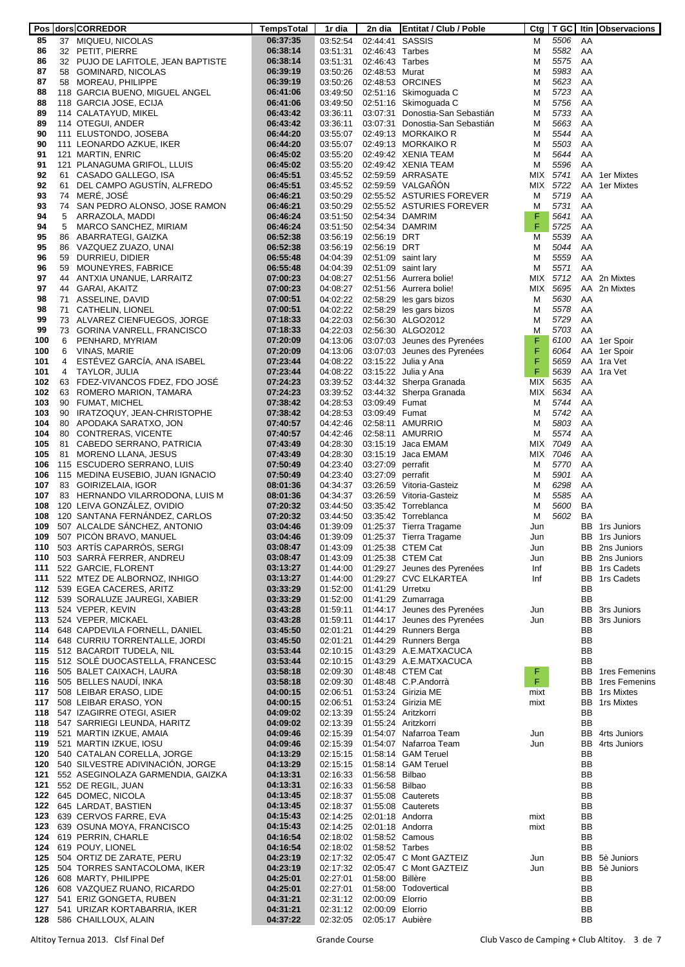|            |    | Pos dors CORREDOR                                                 | TempsTotal           | 1r dia               | 2n dia            | <b>Entitat / Club / Poble</b>                      |            | $C$ tg   T GC |          | Itin Observacions              |
|------------|----|-------------------------------------------------------------------|----------------------|----------------------|-------------------|----------------------------------------------------|------------|---------------|----------|--------------------------------|
| 85         |    | 37 MIQUEU, NICOLAS                                                | 06:37:35             | 03:52:54             | 02:44:41 SASSIS   |                                                    | м          | 5506          | AA       |                                |
| 86         |    | 32 PETIT, PIERRE                                                  | 06:38:14             | 03:51:31             | 02:46:43 Tarbes   |                                                    | м          | 5582          | AA       |                                |
| 86         |    | 32 PUJO DE LAFITOLE, JEAN BAPTISTE                                | 06:38:14             | 03:51:31             | 02:46:43 Tarbes   |                                                    | M          | 5575          | AA       |                                |
| 87         |    | 58 GOMINARD, NICOLAS                                              | 06:39:19             | 03:50:26             | 02:48:53 Murat    |                                                    | м          | 5983          | AA       |                                |
| 87<br>88   |    | 58 MOREAU, PHILIPPE                                               | 06:39:19             | 03:50:26             |                   | 02:48:53 ORCINES                                   | M          | 5623<br>5723  | AA       |                                |
| 88         |    | 118 GARCIA BUENO, MIGUEL ANGEL                                    | 06:41:06<br>06:41:06 | 03:49:50             |                   | 02:51:16 Skimoguada C<br>02:51:16 Skimoguada C     | M<br>M     | 5756          | AA<br>AA |                                |
| 89         |    | 118 GARCIA JOSE, ECIJA<br>114 CALATAYUD, MIKEL                    | 06:43:42             | 03:49:50<br>03:36:11 |                   | 03:07:31 Donostia-San Sebastián                    | м          | 5733          | AA       |                                |
| 89         |    | 114 OTEGUI, ANDER                                                 | 06:43:42             | 03:36:11             |                   | 03:07:31 Donostia-San Sebastián                    | M          | 5663          | AA       |                                |
| 90         |    | 111 ELUSTONDO, JOSEBA                                             | 06:44:20             | 03:55:07             |                   | 02:49:13 MORKAIKO R                                | м          | 5544          | AA       |                                |
| 90         |    | 111 LEONARDO AZKUE, IKER                                          | 06:44:20             | 03:55:07             |                   | 02:49:13 MORKAIKO R                                | м          | 5503          | AA       |                                |
| 91         |    | 121 MARTIN, ENRIC                                                 | 06:45:02             | 03:55:20             |                   | 02:49:42 XENIA TEAM                                | M          | 5644          | AA       |                                |
| 91         |    | 121 PLANAGUMA GRIFOL, LLUIS                                       | 06:45:02             | 03:55:20             |                   | 02:49:42 XENIA TEAM                                | м          | 5596          | AA       |                                |
| 92         | 61 | CASADO GALLEGO, ISA                                               | 06:45:51             | 03:45:52             |                   | 02:59:59 ARRASATE                                  |            | MIX 5741      | AA       | 1er Mixtes                     |
| 92         | 61 | DEL CAMPO AGUSTIN, ALFREDO                                        | 06:45:51             | 03:45:52             |                   | 02:59:59 VALGANON                                  |            | MIX 5722      | AA       | 1er Mixtes                     |
| 93         |    | 74 MERE, JOSE                                                     | 06:46:21             | 03:50:29             |                   | 02:55:52 ASTURIES FOREVER                          | м          | 5719          | AA       |                                |
| 93         | 74 | SAN PEDRO ALONSO, JOSE RAMON                                      | 06:46:21             | 03:50:29             |                   | 02:55:52 ASTURIES FOREVER                          | м          | 5731          | AA       |                                |
| 94         | 5  | ARRAZOLA, MADDI                                                   | 06:46:24             | 03:51:50             |                   | 02:54:34 DAMRIM                                    | F          | 5641          | AA       |                                |
| 94         | 5  | MARCO SANCHEZ, MIRIAM                                             | 06:46:24             | 03:51:50             |                   | 02:54:34 DAMRIM                                    | F          | 5725          | AA       |                                |
| 95         |    | 86 ABARRATEGI, GAIZKA                                             | 06:52:38             | 03:56:19             | 02:56:19 DRT      |                                                    | M          | 5539          | AA       |                                |
| 95         |    | 86 VAZQUEZ ZUAZO, UNAI                                            | 06:52:38             | 03:56:19             | 02:56:19 DRT      |                                                    | M          | 5044          | AA       |                                |
| 96         |    | 59 DURRIEU, DIDIER                                                | 06:55:48             | 04:04:39             |                   | 02:51:09 saint lary                                | M          | 5559          | AA       |                                |
| 96         | 59 | MOUNEYRES, FABRICE                                                | 06:55:48             | 04:04:39             |                   | 02:51:09 saint lary                                | м          | 5571          | AA       |                                |
| 97         | 44 | ANTXIA UNANUE, LARRAITZ                                           | 07:00:23             | 04:08:27             |                   | 02:51:56 Aurrera bolie!                            | MIX        | 5712          | AA       | 2n Mixtes                      |
| 97         | 44 | GARAI, AKAITZ                                                     | 07:00:23             | 04:08:27             |                   | 02:51:56 Aurrera bolie!                            | MIX        | 5695          | AA       | 2n Mixtes                      |
| 98         | 71 | ASSELINE, DAVID                                                   | 07:00:51             | 04:02:22             |                   | 02:58:29 les gars bizos                            | M          | 5630          | AA       |                                |
| 98<br>99   | 71 | CATHELIN, LIONEL<br>73 ALVAREZ CIENFUEGOS, JORGE                  | 07:00:51             | 04:02:22<br>04:22:03 |                   | 02:58:29 les gars bizos<br>02:56:30 ALGO2012       | M          | 5578<br>5729  | AA<br>AA |                                |
| 99         |    | 73 GORINA VANRELL, FRANCISCO                                      | 07:18:33<br>07:18:33 | 04:22:03             |                   | 02:56:30 ALGO2012                                  | M<br>M     | 5703          | AA       |                                |
| 100        | 6  | PENHARD, MYRIAM                                                   | 07:20:09             | 04:13:06             |                   | 03:07:03 Jeunes des Pyrenées                       | F          | 6100          |          | AA 1er Spoir                   |
| 100        | 6  | VINAS, MARIE                                                      | 07:20:09             | 04:13:06             |                   | 03:07:03 Jeunes des Pyrenées                       | F          | 6064          |          | AA 1er Spoir                   |
| 101        | 4  | ESTÉVEZ GARCÍA, ANA ISABEL                                        | 07:23:44             | 04:08:22             |                   | 03:15:22 Julia y Ana                               | F          | 5659          |          | AA 1ra Vet                     |
| 101        |    | 4 TAYLOR, JULIA                                                   | 07:23:44             | 04:08:22             |                   | 03:15:22 Julia y Ana                               | F          | 5639          |          | AA 1ra Vet                     |
| 102        |    | 63 FDEZ-VIVANCOS FDEZ, FDO JOSE                                   | 07:24:23             | 03:39:52             |                   | 03:44:32 Sherpa Granada                            | MIX        | 5635          | AA       |                                |
| 102        |    | 63 ROMERO MARION, TAMARA                                          | 07:24:23             | 03:39:52             |                   | 03:44:32 Sherpa Granada                            | MIX        | 5634          | AA       |                                |
| 103        |    | 90 FUMAT, MICHEL                                                  | 07:38:42             | 04:28:53             | 03:09:49 Fumat    |                                                    | м          | 5744          | AA       |                                |
| 103        |    | 90 IRATZOQUY, JEAN-CHRISTOPHE                                     | 07:38:42             | 04:28:53             | 03:09:49 Fumat    |                                                    | M          | 5742          | AA       |                                |
| 104        |    | 80 APODAKA SARATXO, JON                                           | 07:40:57             | 04:42:46             |                   | 02:58:11 AMURRIO                                   | M          | 5803          | AA       |                                |
| 104        |    | 80 CONTRERAS, VICENTE                                             | 07:40:57             | 04:42:46             |                   | 02:58:11 AMURRIO                                   | м          | 5574          | AA       |                                |
| 105        | 81 | CABEDO SERRANO, PATRICIA                                          | 07:43:49             | 04:28:30             |                   | 03:15:19 Jaca EMAM                                 |            | MIX 7049      | AA       |                                |
| 105        |    | 81 MORENO LLANA, JESUS                                            | 07:43:49             | 04:28:30             |                   | 03:15:19 Jaca EMAM                                 |            | MIX 7046      | AA       |                                |
| 106        |    | 115 ESCUDERO SERRANO, LUIS                                        | 07:50:49             | 04:23:40             | 03:27:09 perrafit |                                                    | м          | 5770          | AA       |                                |
| 106        |    | 115 MEDINA EUSEBIO, JUAN IGNACIO                                  | 07:50:49             | 04:23:40             | 03:27:09 perrafit |                                                    | м          | 5901          | AA       |                                |
| 107        |    | 83 GOIRIZELAIA, IGOR                                              | 08:01:36             | 04:34:37             |                   | 03:26:59 Vitoria-Gasteiz                           | M          | 6298          | AA       |                                |
| 107        |    | 83 HERNANDO VILARRODONA, LUIS M                                   | 08:01:36             | 04:34:37             |                   | 03:26:59 Vitoria-Gasteiz                           | M          | 5585          | AA       |                                |
| 108        |    | 120 LEIVA GONZALEZ, OVIDIO<br>120 SANTANA FERNÁNDEZ, CARLOS       | 07:20:32             | 03:44:50             |                   | 03:35:42 Torreblanca                               | M          | 5600<br>5602  | BA       |                                |
| 108<br>109 |    | 507 ALCALDE SANCHEZ, ANTONIO                                      | 07:20:32<br>03:04:46 | 03:44:50<br>01:39:09 |                   | 03:35:42 Torreblanca<br>01:25:37 Tierra Tragame    | м          |               | BA       | <b>BB</b> 1rs Juniors          |
| 109        |    | 507 PICON BRAVO, MANUEL                                           | 03:04:46             | 01:39:09             |                   | 01:25:37 Tierra Tragame                            | Jun<br>Jun |               |          | BB 1rs Juniors                 |
| 110        |    | 503 ARTÍS CAPARRÓS, SERGI                                         | 03:08:47             | 01:43:09             |                   | 01:25:38 CTEM Cat                                  | Jun        |               |          | BB 2ns Juniors                 |
| 110        |    | 503 SARRA FERRER, ANDREU                                          | 03:08:47             | 01:43:09             |                   | 01:25:38 CTEM Cat                                  | Jun        |               |          | BB 2ns Juniors                 |
| 111        |    | 522 GARCIE, FLORENT                                               | 03:13:27             | 01:44:00             |                   | 01:29:27 Jeunes des Pyrenées                       | Inf        |               |          | BB 1rs Cadets                  |
| 111        |    | 522 MTEZ DE ALBORNOZ, INHIGO                                      | 03:13:27             | 01:44:00             |                   | 01:29:27 CVC ELKARTEA                              | Inf        |               | BB       | 1rs Cadets                     |
|            |    | 112 539 EGEA CACERES, ARITZ                                       | 03:33:29             | 01:52:00             | 01:41:29 Urretxu  |                                                    |            |               | BB       |                                |
|            |    | 112 539 SORALUZE JAUREGI, XABIER                                  | 03:33:29             | 01:52:00             |                   | 01:41:29 Zumarraga                                 |            |               | BB       |                                |
|            |    | 113 524 VEPER, KEVIN                                              | 03:43:28             | 01:59:11             |                   | 01:44:17 Jeunes des Pyrenées                       | Jun        |               | BB       | 3rs Juniors                    |
|            |    | 113 524 VEPER, MICKAEL                                            | 03:43:28             | 01:59:11             |                   | 01:44:17 Jeunes des Pyrenées                       | Jun        |               | BB       | 3rs Juniors                    |
|            |    | 114 648 CAPDEVILA FORNELL, DANIEL                                 | 03:45:50             | 02:01:21             |                   | 01:44:29 Runners Berga                             |            |               | BB       |                                |
|            |    | 114 648 CURRIU TORRENTALLE, JORDI                                 | 03:45:50             | 02:01:21             |                   | 01:44:29 Runners Berga                             |            |               | BB       |                                |
|            |    | 115 512 BACARDIT TUDELA, NIL                                      | 03:53:44             | 02:10:15             |                   | 01:43:29 A.E.MATXACUCA                             |            |               | BB       |                                |
|            |    | 115 512 SOLE DUOCASTELLA, FRANCESC                                | 03:53:44             | 02:10:15             |                   | 01:43:29 A.E.MATXACUCA                             |            |               | BB       |                                |
|            |    | 116 505 BALET CAIXACH, LAURA<br>116 505 BELLES NAUDÍ, INKA        | 03:58:18<br>03:58:18 | 02:09:30<br>02:09:30 |                   | 01:48:48 CTEM Cat<br>01:48:48 C.P.Andorrà          | F<br>F.    |               | BB<br>BB | 1res Femenins<br>1res Femenins |
|            |    | 117 508 LEIBAR ERASO, LIDE                                        | 04:00:15             | 02:06:51             |                   | 01:53:24 Girizia ME                                | mixt       |               | BB       | 1rs Mixtes                     |
|            |    | 117 508 LEIBAR ERASO, YON                                         | 04:00:15             | 02:06:51             |                   | 01:53:24 Girizia ME                                | mixt       |               | BB       | 1rs Mixtes                     |
|            |    | 118 547 IZAGIRRE OTEGI, ASIER                                     | 04:09:02             | 02:13:39             |                   | 01:55:24 Aritzkorri                                |            |               | BB       |                                |
|            |    | 118 547 SARRIEGI LEUNDA, HARITZ                                   | 04:09:02             | 02:13:39             |                   | 01:55:24 Aritzkorri                                |            |               | BB       |                                |
|            |    | 119 521 MARTIN IZKUE, AMAIA                                       | 04:09:46             | 02:15:39             |                   | 01:54:07 Nafarroa Team                             | Jun        |               | BB       | 4rts Juniors                   |
|            |    | 119 521 MARTIN IZKUE, IOSU                                        | 04:09:46             | 02:15:39             |                   | 01:54:07 Nafarroa Team                             | Jun        |               | BB       | 4rts Juniors                   |
|            |    | 120 540 CATALAN CORELLA, JORGE                                    | 04:13:29             | 02:15:15             |                   | 01:58:14 GAM Teruel                                |            |               | BB       |                                |
|            |    | 120 540 SILVESTRE ADIVINACION, JORGE                              | 04:13:29             | 02:15:15             |                   | 01:58:14 GAM Teruel                                |            |               | BB       |                                |
|            |    | 121 552 ASEGINOLAZA GARMENDIA, GAIZKA                             | 04:13:31             | 02:16:33             | 01:56:58 Bilbao   |                                                    |            |               | BB       |                                |
|            |    | 121 552 DE REGIL, JUAN                                            | 04:13:31             | 02:16:33             | 01:56:58 Bilbao   |                                                    |            |               | BB       |                                |
|            |    | 122 645 DOMEC, NICOLA                                             | 04:13:45             | 02:18:37             |                   | 01:55:08 Cauterets                                 |            |               | BB       |                                |
|            |    | 122 645 LARDAT, BASTIEN                                           | 04:13:45             | 02:18:37             |                   | 01:55:08 Cauterets                                 |            |               | BB       |                                |
|            |    | 123 639 CERVOS FARRE, EVA                                         | 04:15:43             | 02:14:25             | 02:01:18 Andorra  |                                                    | mixt       |               | BB       |                                |
|            |    | 123 639 OSUNA MOYA, FRANCISCO                                     | 04:15:43             | 02:14:25             | 02:01:18 Andorra  |                                                    | mixt       |               | BB       |                                |
|            |    | 124 619 PERRIN, CHARLE                                            | 04:16:54             | 02:18:02             | 01:58:52 Camous   |                                                    |            |               | BB       |                                |
|            |    | 124 619 POUY, LIONEL                                              | 04:16:54             | 02:18:02             | 01:58:52 Tarbes   |                                                    |            |               | BB       |                                |
|            |    | 125 504 ORTIZ DE ZARATE, PERU<br>125 504 TORRES SANTACOLOMA, IKER | 04:23:19<br>04:23:19 | 02:17:32<br>02:17:32 |                   | 02:05:47 C Mont GAZTEIZ<br>02:05:47 C Mont GAZTEIZ | Jun<br>Jun |               | BB       | BB 5è Juniors<br>5è Juniors    |
|            |    | 126 608 MARTY, PHILIPPE                                           | 04:25:01             | 02:27:01             | 01:58:00 Billère  |                                                    |            |               | BB       |                                |
|            |    | 126 608 VAZQUEZ RUANO, RICARDO                                    | 04:25:01             | 02:27:01             |                   | 01:58:00 Todovertical                              |            |               | BB       |                                |
|            |    | 127 541 ERIZ GONGETA, RUBEN                                       | 04:31:21             | 02:31:12             | 02:00:09 Elorrio  |                                                    |            |               | BB       |                                |
| 127        |    | 541 URIZAR KORTABARRIA, IKER                                      | 04:31:21             | 02:31:12             | 02:00:09 Elorrio  |                                                    |            |               | BB       |                                |
|            |    | 128 586 CHAILLOUX, ALAIN                                          | 04:37:22             | 02:32:05             | 02:05:17 Aubière  |                                                    |            |               | BB       |                                |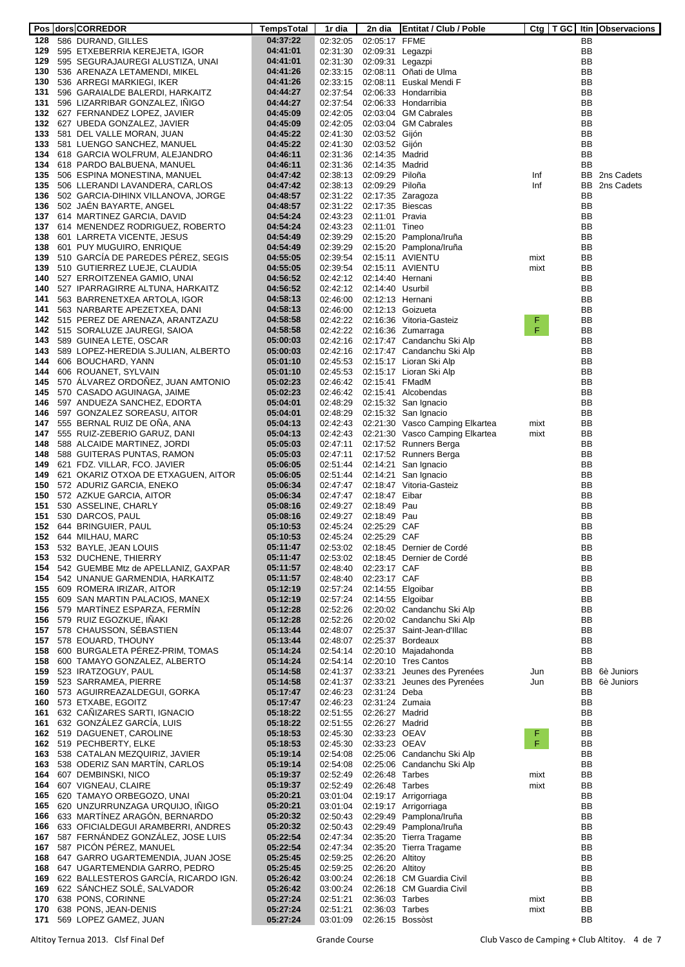|            | Pos dors CORREDOR                                                        | <b>TempsTotal</b>    | 1r dia               | 2n dia                            | <b>Entitat / Club / Poble</b>                            |         |                        | Ctg   T GC   Itin   Observacions |
|------------|--------------------------------------------------------------------------|----------------------|----------------------|-----------------------------------|----------------------------------------------------------|---------|------------------------|----------------------------------|
|            | 128 586 DURAND, GILLES                                                   | 04:37:22             | 02:32:05             | 02:05:17 FFME                     |                                                          |         | BB                     |                                  |
|            | 129 595 ETXEBERRIA KEREJETA, IGOR                                        | 04:41:01             | 02:31:30             | 02:09:31 Legazpi                  |                                                          |         | <b>BB</b>              |                                  |
|            | 129 595 SEGURAJAUREGI ALUSTIZA, UNAI                                     | 04:41:01             | 02:31:30             | 02:09:31 Legazpi                  |                                                          |         | <b>BB</b>              |                                  |
| 130        | 536 ARENAZA LETAMENDI, MIKEL                                             | 04:41:26             | 02:33:15             |                                   | 02:08:11 Oñati de Ulma                                   |         | <b>BB</b>              |                                  |
| 130        | 536 ARREGI MARKIEGI, IKER                                                | 04:41:26             | 02:33:15             |                                   | 02:08:11 Euskal Mendi F                                  |         | <b>BB</b>              |                                  |
| 131<br>131 | 596 GARAIALDE BALERDI, HARKAITZ<br>596 LIZARRIBAR GONZALEZ, INIGO        | 04:44:27<br>04:44:27 | 02:37:54<br>02:37:54 |                                   | 02:06:33 Hondarribia<br>02:06:33 Hondarribia             |         | BB<br><b>BB</b>        |                                  |
|            | 132 627 FERNANDEZ LOPEZ, JAVIER                                          | 04:45:09             | 02:42:05             |                                   | 02:03:04 GM Cabrales                                     |         | BB                     |                                  |
|            | 132 627 UBEDA GONZALEZ, JAVIER                                           | 04:45:09             | 02:42:05             |                                   | 02:03:04 GM Cabrales                                     |         | <b>BB</b>              |                                  |
|            | 133 581 DEL VALLE MORAN, JUAN                                            | 04:45:22             | 02:41:30             | 02:03:52 Gijón                    |                                                          |         | BB                     |                                  |
| 133        | 581 LUENGO SANCHEZ, MANUEL                                               | 04:45:22             | 02:41:30             | 02:03:52 Gijón                    |                                                          |         | BB                     |                                  |
| 134        | 618 GARCIA WOLFRUM, ALEJANDRO                                            | 04:46:11             | 02:31:36             | 02:14:35 Madrid                   |                                                          |         | BB                     |                                  |
|            | 134 618 PARDO BALBUENA, MANUEL                                           | 04:46:11             | 02:31:36             | 02:14:35 Madrid                   |                                                          |         | BB                     |                                  |
| 135        | 506 ESPINA MONESTINA, MANUEL                                             | 04:47:42             | 02:38:13             | 02:09:29 Piloña                   |                                                          | Inf     | BB                     | 2ns Cadets                       |
| 135        | 506 LLERANDI LAVANDERA, CARLOS                                           | 04:47:42             | 02:38:13             | 02:09:29 Piloña                   |                                                          | Inf     | BB                     | 2ns Cadets                       |
| 136        | 502 GARCIA-DIHINX VILLANOVA, JORGE                                       | 04:48:57             | 02:31:22             |                                   | 02:17:35 Zaragoza                                        |         | BB                     |                                  |
| 136        | 502 JAEN BAYARTE, ANGEL                                                  | 04:48:57             | 02:31:22             | 02:17:35 Biescas                  |                                                          |         | BB                     |                                  |
| 137        | 614 MARTINEZ GARCIA, DAVID                                               | 04:54:24             | 02:43:23             | 02:11:01 Pravia                   |                                                          |         | BB                     |                                  |
|            | 137 614 MENENDEZ RODRIGUEZ, ROBERTO                                      | 04:54:24             | 02:43:23             | 02:11:01 Tineo                    |                                                          |         | BB                     |                                  |
| 138        | 601 LARRETA VICENTE, JESUS                                               | 04:54:49             | 02:39:29             |                                   | 02:15:20 Pamplona/Iruña                                  |         | BB                     |                                  |
| 138        | 601 PUY MUGUIRO, ENRIQUE                                                 | 04:54:49             | 02:39:29             |                                   | 02:15:20 Pamplona/Iruña                                  |         | BB                     |                                  |
| 139        | 510 GARCIA DE PAREDES PÉREZ, SEGIS                                       | 04:55:05             | 02:39:54             |                                   | 02:15:11 AVIENTU                                         | mixt    | BB                     |                                  |
|            | 139 510 GUTIERREZ LUEJE, CLAUDIA                                         | 04:55:05             | 02:39:54             |                                   | 02:15:11 AVIENTU                                         | mixt    | BB                     |                                  |
| 140        | 527 ERROITZENEA GAMIO, UNAI                                              | 04:56:52             | 02:42:12             | 02:14:40 Hernani                  |                                                          |         | BB                     |                                  |
| 140        | 527 IPARRAGIRRE ALTUNA, HARKAITZ                                         | 04:56:52             | 02:42:12             | 02:14:40 Usurbil                  |                                                          |         | <b>BB</b>              |                                  |
| 141        | 563 BARRENETXEA ARTOLA, IGOR                                             | 04:58:13             | 02:46:00             | 02:12:13 Hernani                  |                                                          |         | BB                     |                                  |
|            | 141 563 NARBARTE APEZETXEA, DANI                                         | 04:58:13             | 02:46:00             |                                   | 02:12:13 Goizueta                                        |         | BB                     |                                  |
|            | 142 515 PEREZ DE ARENAZA, ARANTZAZU                                      | 04:58:58             | 02:42:22             |                                   | 02:16:36 Vitoria-Gasteiz                                 | F.<br>F | BB                     |                                  |
|            | 142 515 SORALUZE JAUREGI, SAIOA                                          | 04:58:58             | 02:42:22<br>02:42:16 |                                   | 02:16:36 Zumarraga                                       |         | <b>BB</b><br><b>BB</b> |                                  |
|            | 143 589 GUINEA LETE, OSCAR<br>143 589 LOPEZ-HEREDIA S.JULIAN, ALBERTO    | 05:00:03<br>05:00:03 | 02:42:16             |                                   | 02:17:47 Candanchu Ski Alp<br>02:17:47 Candanchu Ski Alp |         | <b>BB</b>              |                                  |
| 144        | 606 BOUCHARD, YANN                                                       | 05:01:10             | 02:45:53             |                                   | 02:15:17 Lioran Ski Alp                                  |         | <b>BB</b>              |                                  |
| 144        | 606 ROUANET, SYLVAIN                                                     | 05:01:10             | 02:45:53             |                                   | 02:15:17 Lioran Ski Alp                                  |         | <b>BB</b>              |                                  |
| 145        | 570 ÁLVAREZ ORDOÑEZ, JUAN AMTONIO                                        | 05:02:23             | 02:46:42             | 02:15:41 FMadM                    |                                                          |         | BB                     |                                  |
|            | 145 570 CASADO AGUINAGA, JAIME                                           | 05:02:23             | 02:46:42             |                                   | 02:15:41 Alcobendas                                      |         | BB                     |                                  |
| 146        | 597 ANDUEZA SANCHEZ, EDORTA                                              | 05:04:01             | 02:48:29             |                                   | 02:15:32 San Ignacio                                     |         | BB                     |                                  |
|            | 146 597 GONZALEZ SOREASU, AITOR                                          | 05:04:01             | 02:48:29             |                                   | 02:15:32 San Ignacio                                     |         | BB                     |                                  |
| 147        | 555 BERNAL RUIZ DE ONA, ANA                                              | 05:04:13             | 02:42:43             |                                   | 02:21:30 Vasco Camping Elkartea                          | mixt    | BB                     |                                  |
|            | 147 555 RUIZ-ZEBERIO GARUZ, DANI                                         | 05:04:13             | 02:42:43             |                                   | 02:21:30 Vasco Camping Elkartea                          | mixt    | BB                     |                                  |
| 148        | 588 ALCAIDE MARTINEZ, JORDI                                              | 05:05:03             | 02:47:11             |                                   | 02:17:52 Runners Berga                                   |         | BB                     |                                  |
| 148        | 588 GUITERAS PUNTAS, RAMON                                               | 05:05:03             | 02:47:11             |                                   | 02:17:52 Runners Berga                                   |         | <b>BB</b>              |                                  |
| 149        | 621 FDZ. VILLAR, FCO. JAVIER                                             | 05:06:05             | 02:51:44             |                                   | 02:14:21 San Ignacio                                     |         | BB                     |                                  |
|            | 149 621 OKARIZ OTXOA DE ETXAGUEN, AITOR                                  | 05:06:05             | 02:51:44             |                                   | 02:14:21 San Ignacio                                     |         | BB                     |                                  |
| 150        | 572 ADURIZ GARCIA, ENEKO                                                 | 05:06:34             | 02:47:47             |                                   | 02:18:47 Vitoria-Gasteiz                                 |         | BB                     |                                  |
| 150        | 572 AZKUE GARCIA, AITOR                                                  | 05:06:34             | 02:47:47             | 02:18:47 Eibar                    |                                                          |         | <b>BB</b>              |                                  |
| 151        | 530 ASSELINE, CHARLY                                                     | 05:08:16             | 02:49:27             | 02:18:49 Pau                      |                                                          |         | BB                     |                                  |
| 151        | 530 DARCOS, PAUL                                                         | 05:08:16             | 02:49:27             | 02:18:49 Pau                      |                                                          |         | BB                     |                                  |
| 152        | 644 BRINGUIER, PAUL                                                      | 05:10:53             | 02:45:24             | 02:25:29 CAF                      |                                                          |         | BB                     |                                  |
| 152        | 644 MILHAU, MARC                                                         | 05:10:53             | 02:45:24             | 02:25:29 CAF                      |                                                          |         | BB                     |                                  |
| 153        | 532 BAYLE, JEAN LOUIS                                                    | 05:11:47             | 02:53:02             |                                   | 02:18:45 Dernier de Cordé                                |         | BB                     |                                  |
| 153        | 532 DUCHENE, THIERRY                                                     | 05:11:47             | 02:53:02             |                                   | 02:18:45 Dernier de Cordé                                |         | <b>BB</b>              |                                  |
| 154        | 542 GUEMBE Mtz de APELLANIZ, GAXPAR                                      | 05:11:57             | 02:48:40             | 02:23:17 CAF                      |                                                          |         | BB                     |                                  |
|            | 154 542 UNANUE GARMENDIA, HARKAITZ<br>155 609 ROMERA IRIZAR, AITOR       | 05:11:57<br>05:12:19 | 02:48:40<br>02:57:24 | 02:23:17 CAF<br>02:14:55 Elgoibar |                                                          |         | BB<br>BB               |                                  |
|            | 155 609 SAN MARTIN PALACIOS, MANEX                                       | 05:12:19             | 02:57:24             | 02:14:55 Elgoibar                 |                                                          |         | BB                     |                                  |
|            | 156 579 MARTINEZ ESPARZA, FERMIN                                         | 05:12:28             | 02:52:26             |                                   | 02:20:02 Candanchu Ski Alp                               |         | BB                     |                                  |
|            | 156 579 RUIZ EGOZKUE, INAKI                                              | 05:12:28             | 02:52:26             |                                   | 02:20:02 Candanchu Ski Alp                               |         | BB                     |                                  |
|            | 157 578 CHAUSSON, SÉBASTIEN                                              | 05:13:44             | 02:48:07             |                                   | 02:25:37 Saint-Jean-d'Illac                              |         | BB                     |                                  |
|            | 157 578 EOUARD, THOUNY                                                   | 05:13:44             | 02:48:07             |                                   | 02:25:37 Bordeaux                                        |         | BB                     |                                  |
|            | 158 600 BURGALETA PEREZ-PRIM, TOMAS                                      | 05:14:24             | 02:54:14             |                                   | 02:20:10 Majadahonda                                     |         | BB                     |                                  |
|            | 158 600 TAMAYO GONZALEZ, ALBERTO                                         | 05:14:24             | 02:54:14             |                                   | 02:20:10 Tres Cantos                                     |         | BB                     |                                  |
|            | 159 523 IRATZOGUY, PAUL                                                  | 05:14:58             | 02:41:37             |                                   | 02:33:21 Jeunes des Pyrenées                             | Jun     | BB                     | 6è Juniors                       |
|            | 159 523 SARRAMEA, PIERRE                                                 | 05:14:58             | 02:41:37             |                                   | 02:33:21 Jeunes des Pyrenées                             | Jun     | BB                     | 6è Juniors                       |
|            | 160 573 AGUIRREAZALDEGUI, GORKA                                          | 05:17:47             | 02:46:23             | 02:31:24 Deba                     |                                                          |         | BB                     |                                  |
|            | 160 573 ETXABE, EGOITZ                                                   | 05:17:47             | 02:46:23             | 02:31:24 Zumaia                   |                                                          |         | <b>BB</b>              |                                  |
|            | 161 632 CANIZARES SARTI, IGNACIO                                         | 05:18:22             | 02:51:55             | 02:26:27 Madrid                   |                                                          |         | BB                     |                                  |
|            | 161 632 GONZALEZ GARCIA, LUIS                                            | 05:18:22             | 02:51:55             | 02:26:27 Madrid                   |                                                          |         | <b>BB</b>              |                                  |
|            | 162 519 DAGUENET, CAROLINE                                               | 05:18:53             | 02:45:30             | 02:33:23 OEAV                     |                                                          | F.      | BB                     |                                  |
|            | 162 519 PECHBERTY, ELKE                                                  | 05:18:53             | 02:45:30             | 02:33:23 OEAV                     |                                                          | F       | BB                     |                                  |
|            | 163 538 CATALAN MEZQUIRIZ, JAVIER                                        | 05:19:14             | 02:54:08             |                                   | 02:25:06 Candanchu Ski Alp                               |         | BB                     |                                  |
|            | 163 538 ODERIZ SAN MARTIN, CARLOS                                        | 05:19:14             | 02:54:08             |                                   | 02:25:06 Candanchu Ski Alp                               |         | BB                     |                                  |
|            | 164 607 DEMBINSKI, NICO                                                  | 05:19:37             | 02:52:49             | 02:26:48 Tarbes                   |                                                          | mixt    | BB                     |                                  |
|            | 164 607 VIGNEAU, CLAIRE                                                  | 05:19:37             | 02:52:49             | 02:26:48 Tarbes                   |                                                          | mixt    | BB                     |                                  |
|            | 165 620 TAMAYO ORBEGOZO, UNAI                                            | 05:20:21             | 03:01:04<br>03:01:04 |                                   | 02:19:17 Arrigorriaga                                    |         | BB<br>BB               |                                  |
|            | 165 620 UNZURRUNZAGA URQUIJO, INIGO<br>166 633 MARTINEZ ARAGON, BERNARDO | 05:20:21<br>05:20:32 | 02:50:43             |                                   | 02:19:17 Arrigorriaga<br>02:29:49 Pamplona/Iruña         |         | BB                     |                                  |
|            | 166 633 OFICIALDEGUI ARAMBERRI, ANDRES                                   | 05:20:32             | 02:50:43             |                                   | 02:29:49 Pamplona/Iruña                                  |         | BB                     |                                  |
|            | 167 587 FERNANDEZ GONZALEZ, JOSE LUIS                                    | 05:22:54             | 02:47:34             |                                   | 02:35:20 Tierra Tragame                                  |         | BB                     |                                  |
|            | 167 587 PICÓN PÉREZ, MANUEL                                              | 05:22:54             | 02:47:34             |                                   | 02:35:20 Tierra Tragame                                  |         | <b>BB</b>              |                                  |
|            | 168 647 GARRO UGARTEMENDIA, JUAN JOSE                                    | 05:25:45             | 02:59:25             | 02:26:20 Altitoy                  |                                                          |         | BB                     |                                  |
|            | 168 647 UGARTEMENDIA GARRO, PEDRO                                        | 05:25:45             | 02:59:25             | 02:26:20 Altitoy                  |                                                          |         | BB                     |                                  |
|            | 169 622 BALLESTEROS GARCÍA, RICARDO IGN.                                 | 05:26:42             | 03:00:24             |                                   | 02:26:18 CM Guardia Civil                                |         | BB                     |                                  |
|            | 169 622 SÁNCHEZ SOLÉ, SALVADOR                                           | 05:26:42             | 03:00:24             |                                   | 02:26:18 CM Guardia Civil                                |         | BB                     |                                  |
|            | 170 638 PONS, CORINNE                                                    | 05:27:24             | 02:51:21             | 02:36:03 Tarbes                   |                                                          | mixt    | BB                     |                                  |
| 170        | 638 PONS, JEAN-DENIS                                                     | 05:27:24             | 02:51:21             | 02:36:03 Tarbes                   |                                                          | mixt    | BB                     |                                  |
| 171        | 569 LOPEZ GAMEZ, JUAN                                                    | 05:27:24             | 03:01:09             | 02:26:15 Bossòst                  |                                                          |         | BB                     |                                  |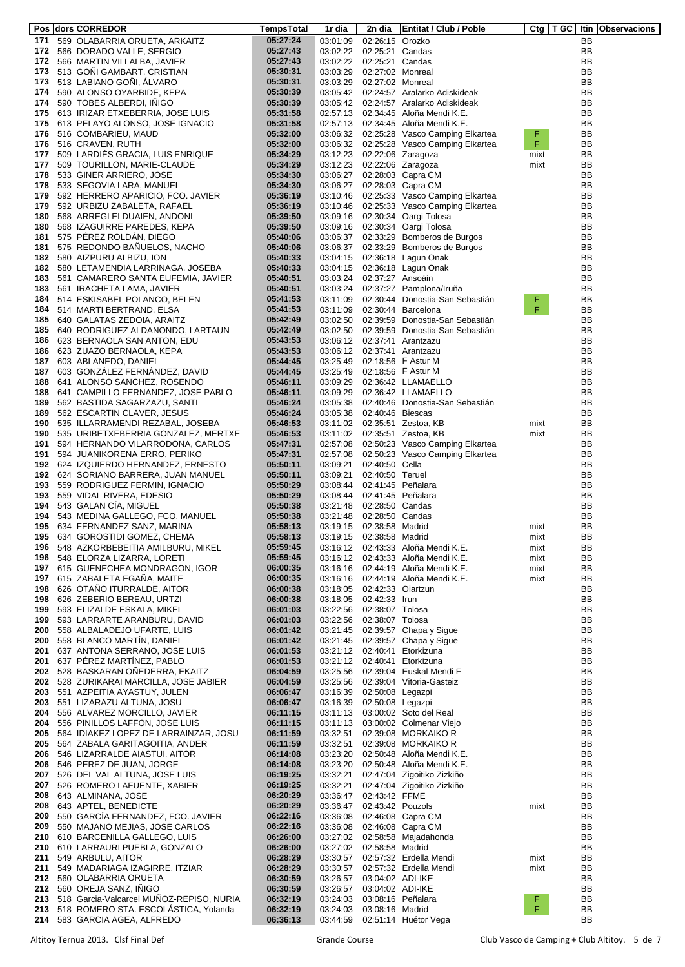|     | Pos   dors   CORREDOR                        | TempsTotal | 1r dia   | 2n dia            | <b>Entitat / Club / Poble</b>   |      |    | Ctg   T GC   Itin   Observacions |
|-----|----------------------------------------------|------------|----------|-------------------|---------------------------------|------|----|----------------------------------|
|     | 171 569 OLABARRIA ORUETA, ARKAITZ            | 05:27:24   | 03:01:09 | 02:26:15 Orozko   |                                 |      | BB |                                  |
|     | 172 566 DORADO VALLE, SERGIO                 | 05:27:43   | 03:02:22 | 02:25:21 Candas   |                                 |      | BB |                                  |
|     | 172 566 MARTIN VILLALBA, JAVIER              | 05:27:43   | 03:02:22 | 02:25:21 Candas   |                                 |      | BB |                                  |
|     | 173 513 GONI GAMBART, CRISTIAN               | 05:30:31   | 03:03:29 | 02:27:02 Monreal  |                                 |      | ВB |                                  |
|     |                                              |            |          |                   |                                 |      |    |                                  |
|     | 173 513 LABIANO GONI, ALVARO                 | 05:30:31   | 03:03:29 | 02:27:02 Monreal  |                                 |      | BB |                                  |
| 174 | 590 ALONSO OYARBIDE, KEPA                    | 05:30:39   | 03:05:42 |                   | 02:24:57 Aralarko Adiskideak    |      | BB |                                  |
|     | 174 590 TOBES ALBERDI, INIGO                 | 05:30:39   | 03:05:42 |                   | 02:24:57 Aralarko Adiskideak    |      | BB |                                  |
|     | 175 613 IRIZAR ETXEBERRIA, JOSE LUIS         | 05:31:58   | 02:57:13 |                   | 02:34:45 Aloña Mendi K.E.       |      | BB |                                  |
|     | 175 613 PELAYO ALONSO, JOSE IGNACIO          | 05:31:58   | 02:57:13 |                   | 02:34:45 Aloña Mendi K.E.       |      | BB |                                  |
|     | 176 516 COMBARIEU, MAUD                      | 05:32:00   | 03:06:32 |                   | 02:25:28 Vasco Camping Elkartea | F    | ВB |                                  |
|     | 176 516 CRAVEN, RUTH                         | 05:32:00   | 03:06:32 |                   | 02:25:28 Vasco Camping Elkartea | F.   | BB |                                  |
| 177 | 509 LARDIÉS GRACIA, LUIS ENRIQUE             | 05:34:29   | 03:12:23 |                   | 02:22:06 Zaragoza               | mixt | ВB |                                  |
|     | 177 509 TOURILLON, MARIE-CLAUDE              |            |          |                   |                                 |      |    |                                  |
|     |                                              | 05:34:29   | 03:12:23 |                   | 02:22:06 Zaragoza               | mixt | ВB |                                  |
| 178 | 533 GINER ARRIERO, JOSE                      | 05:34:30   | 03:06:27 |                   | 02:28:03 Capra CM               |      | BB |                                  |
|     | 178 533 SEGOVIA LARA, MANUEL                 | 05:34:30   | 03:06:27 |                   | 02:28:03 Capra CM               |      | BB |                                  |
| 179 | 592 HERRERO APARICIO, FCO. JAVIER            | 05:36:19   | 03:10:46 |                   | 02:25:33 Vasco Camping Elkartea |      | BB |                                  |
| 179 | 592 URBIZU ZABALETA, RAFAEL                  | 05:36:19   | 03:10:46 |                   | 02:25:33 Vasco Camping Elkartea |      | BB |                                  |
| 180 | 568 ARREGI ELDUAIEN, ANDONI                  | 05:39:50   | 03:09:16 |                   | 02:30:34 Oargi Tolosa           |      | BB |                                  |
| 180 | 568 IZAGUIRRE PAREDES, KEPA                  | 05:39:50   | 03:09:16 |                   | 02:30:34 Oargi Tolosa           |      | BB |                                  |
| 181 | 575 PEREZ ROLDAN, DIEGO                      | 05:40:06   | 03:06:37 |                   | 02:33:29 Bomberos de Burgos     |      | BB |                                  |
| 181 | 575 REDONDO BANUELOS, NACHO                  | 05:40:06   | 03:06:37 |                   | 02:33:29 Bomberos de Burgos     |      | BB |                                  |
|     |                                              |            |          |                   |                                 |      |    |                                  |
| 182 | 580 AIZPURU ALBIZU, ION                      | 05:40:33   | 03:04:15 |                   | 02:36:18 Lagun Onak             |      | BB |                                  |
| 182 | 580 LETAMENDIA LARRINAGA, JOSEBA             | 05:40:33   | 03:04:15 |                   | 02:36:18 Lagun Onak             |      | BB |                                  |
| 183 | 561 CAMARERO SANTA EUFEMIA, JAVIER           | 05:40:51   | 03:03:24 | 02:37:27 Ansoáin  |                                 |      | BB |                                  |
| 183 | 561 IRACHETA LAMA, JAVIER                    | 05:40:51   | 03:03:24 |                   | 02:37:27 Pamplona/Iruña         |      | BB |                                  |
| 184 | 514 ESKISABEL POLANCO, BELEN                 | 05:41:53   | 03:11:09 |                   | 02:30:44 Donostia-San Sebastián | F    | ΒB |                                  |
|     | 184 514 MARTI BERTRAND, ELSA                 | 05:41:53   | 03:11:09 |                   | 02:30:44 Barcelona              | F    | BB |                                  |
|     | 185 640 GALATAS ZEDOIA, ARAITZ               | 05:42:49   | 03:02:50 |                   | 02:39:59 Donostia-San Sebastián |      | BB |                                  |
|     | 185 640 RODRIGUEZ ALDANONDO, LARTAUN         | 05:42:49   | 03:02:50 |                   | 02:39:59 Donostia-San Sebastián |      | BB |                                  |
|     |                                              |            | 03:06:12 |                   | 02:37:41 Arantzazu              |      | BB |                                  |
|     | 186 623 BERNAOLA SAN ANTON, EDU              | 05:43:53   |          |                   |                                 |      |    |                                  |
|     | 186 623 ZUAZO BERNAOLA, KEPA                 | 05:43:53   | 03:06:12 |                   | 02:37:41 Arantzazu              |      | BB |                                  |
|     | 187 603 ABLANEDO, DANIEL                     | 05:44:45   | 03:25:49 |                   | 02:18:56 F Astur M              |      | BB |                                  |
| 187 | 603 GONZALEZ FERNANDEZ, DAVID                | 05:44:45   | 03:25:49 |                   | 02:18:56 F Astur M              |      | BB |                                  |
| 188 | 641 ALONSO SANCHEZ, ROSENDO                  | 05:46:11   | 03:09:29 |                   | 02:36:42 LLAMAELLO              |      | BB |                                  |
|     | 188 641 CAMPILLO FERNANDEZ, JOSE PABLO       | 05:46:11   | 03:09:29 |                   | 02:36:42 LLAMAELLO              |      | BB |                                  |
| 189 | 562 BASTIDA SAGARZAZU, SANTI                 | 05:46:24   | 03:05:38 |                   | 02:40:46 Donostia-San Sebastián |      | BB |                                  |
| 189 | 562 ESCARTIN CLAVER, JESUS                   | 05:46:24   | 03:05:38 | 02:40:46 Biescas  |                                 |      | BB |                                  |
| 190 | 535 ILLARRAMENDI REZABAL, JOSEBA             | 05:46:53   | 03:11:02 |                   | 02:35:51 Zestoa, KB             | mixt | BB |                                  |
|     |                                              |            |          |                   |                                 |      |    |                                  |
| 190 | 535 URIBETXEBERRIA GONZALEZ, MERTXE          | 05:46:53   | 03:11:02 |                   | 02:35:51 Zestoa, KB             | mixt | BB |                                  |
| 191 | 594 HERNANDO VILARRODONA, CARLOS             | 05:47:31   | 02:57:08 |                   | 02:50:23 Vasco Camping Elkartea |      | BB |                                  |
| 191 | 594 JUANIKORENA ERRO, PERIKO                 | 05:47:31   | 02:57:08 |                   | 02:50:23 Vasco Camping Elkartea |      | BB |                                  |
| 192 | 624 IZQUIERDO HERNANDEZ, ERNESTO             | 05:50:11   | 03:09:21 | 02:40:50 Cella    |                                 |      | BB |                                  |
|     | 192 624 SORIANO BARRERA, JUAN MANUEL         | 05:50:11   | 03:09:21 | 02:40:50 Teruel   |                                 |      | BB |                                  |
| 193 | 559 RODRIGUEZ FERMIN, IGNACIO                | 05:50:29   | 03:08:44 |                   | 02:41:45 Peñalara               |      | BB |                                  |
| 193 | 559 VIDAL RIVERA, EDESIO                     | 05:50:29   | 03:08:44 |                   | 02:41:45 Peñalara               |      | BB |                                  |
| 194 | 543 GALAN CÍA, MIGUEL                        | 05:50:38   | 03:21:48 | 02:28:50 Candas   |                                 |      | BB |                                  |
|     |                                              |            |          |                   |                                 |      |    |                                  |
| 194 | 543 MEDINA GALLEGO, FCO. MANUEL              | 05:50:38   | 03:21:48 | 02:28:50 Candas   |                                 |      | BB |                                  |
| 195 | 634 FERNANDEZ SANZ, MARINA                   | 05:58:13   | 03:19:15 | 02:38:58 Madrid   |                                 | mixt | ВB |                                  |
| 195 | 634 GOROSTIDI GOMEZ, CHEMA                   | 05:58:13   | 03:19:15 | 02:38:58 Madrid   |                                 | mixt | ΒB |                                  |
| 196 | 548 AZKORBEBEITIA AMILBURU, MIKEL            | 05:59:45   | 03:16:12 |                   | 02:43:33 Aloña Mendi K.E.       | mixt | ВB |                                  |
| 196 | 548 ELORZA LIZARRA, LORETI                   | 05:59:45   | 03:16:12 |                   | 02:43:33 Aloña Mendi K.E.       | mixt | BB |                                  |
|     | 197 615 GUENECHEA MONDRAGON, IGOR            | 06:00:35   | 03:16:16 |                   | 02:44:19 Aloña Mendi K.E.       | mixt | ВB |                                  |
| 197 | 615 ZABALETA EGANA, MAITE                    | 06:00:35   | 03:16:16 |                   | 02:44:19 Aloña Mendi K.E.       | mixt | ВB |                                  |
| 198 | 626 OTANO ITURRALDE, AITOR                   | 06:00:38   | 03:18:05 | 02:42:33 Oiartzun |                                 |      | ВB |                                  |
| 198 | 626 ZEBERIO BEREAU, URTZI                    | 06:00:38   | 03:18:05 | 02:42:33 Irun     |                                 |      | BB |                                  |
| 199 | 593 ELIZALDE ESKALA, MIKEL                   | 06:01:03   | 03:22:56 | 02:38:07 Tolosa   |                                 |      | BB |                                  |
|     |                                              |            |          |                   |                                 |      |    |                                  |
| 199 | 593 LARRARTE ARANBURU, DAVID                 | 06:01:03   | 03:22:56 | 02:38:07 Tolosa   |                                 |      | BB |                                  |
| 200 | 558 ALBALADEJO UFARTE, LUIS                  | 06:01:42   | 03:21:45 |                   | 02:39:57 Chapa y Sigue          |      | BB |                                  |
|     | 200 558 BLANCO MARTÍN, DANIEL                | 06:01:42   | 03:21:45 |                   | 02:39:57 Chapa y Sigue          |      | BB |                                  |
|     | 201 637 ANTONA SERRANO, JOSE LUIS            | 06:01:53   | 03:21:12 |                   | 02:40:41 Etorkizuna             |      | BB |                                  |
|     | 201 637 PEREZ MARTINEZ, PABLO                | 06:01:53   | 03:21:12 |                   | 02:40:41 Etorkizuna             |      | BB |                                  |
|     | 202 528 BASKARAN ONEDERRA, EKAITZ            | 06:04:59   | 03:25:56 |                   | 02:39:04 Euskal Mendi F         |      | BB |                                  |
|     | 202 528 ZURIKARAI MARCILLA, JOSE JABIER      | 06:04:59   | 03:25:56 |                   | 02:39:04 Vitoria-Gasteiz        |      | BB |                                  |
|     | 203 551 AZPEITIA AYASTUY, JULEN              | 06:06:47   | 03:16:39 | 02:50:08 Legazpi  |                                 |      | BB |                                  |
|     | 203 551 LIZARAZU ALTUNA, JOSU                | 06:06:47   | 03:16:39 | 02:50:08 Legazpi  |                                 |      | BB |                                  |
| 204 | 556 ALVAREZ MORCILLO, JAVIER                 | 06:11:15   | 03:11:13 |                   | 03:00:02 Soto del Real          |      | BB |                                  |
|     |                                              |            |          |                   |                                 |      | BB |                                  |
| 204 | 556 PINILLOS LAFFON, JOSE LUIS               | 06:11:15   | 03:11:13 |                   | 03:00:02 Colmenar Viejo         |      |    |                                  |
| 205 | 564 IDIAKEZ LOPEZ DE LARRAINZAR, JOSU        | 06:11:59   | 03:32:51 |                   | 02:39:08 MORKAIKO R             |      | BB |                                  |
|     | 205 564 ZABALA GARITAGOITIA, ANDER           | 06:11:59   | 03:32:51 |                   | 02:39:08 MORKAIKO R             |      | BB |                                  |
| 206 | 546 LIZARRALDE AIASTUI, AITOR                | 06:14:08   | 03:23:20 |                   | 02:50:48 Aloña Mendi K.E.       |      | BB |                                  |
|     | 206 546 PEREZ DE JUAN, JORGE                 | 06:14:08   | 03:23:20 |                   | 02:50:48 Aloña Mendi K.E.       |      | BB |                                  |
| 207 | 526 DEL VAL ALTUNA, JOSE LUIS                | 06:19:25   | 03:32:21 |                   | 02:47:04 Zigoitiko Zizkiño      |      | BB |                                  |
|     | 207 526 ROMERO LAFUENTE, XABIER              | 06:19:25   | 03:32:21 |                   | 02:47:04 Zigoitiko Zizkiño      |      | BB |                                  |
| 208 | 643 ALMINANA, JOSE                           | 06:20:29   | 03:36:47 | 02:43:42 FFME     |                                 |      | BB |                                  |
|     | 208 643 APTEL, BENEDICTE                     | 06:20:29   | 03:36:47 | 02:43:42 Pouzols  |                                 |      | BB |                                  |
|     |                                              |            |          |                   |                                 | mixt |    |                                  |
| 209 | 550 GARCIA FERNANDEZ, FCO. JAVIER            | 06:22:16   | 03:36:08 |                   | 02:46:08 Capra CM               |      | BB |                                  |
| 209 | 550 MAJANO MEJIAS, JOSE CARLOS               | 06:22:16   | 03:36:08 |                   | 02:46:08 Capra CM               |      | BB |                                  |
|     | 210 610 BARCENILLA GALLEGO, LUIS             | 06:26:00   | 03:27:02 |                   | 02:58:58 Majadahonda            |      | ВB |                                  |
| 210 | 610 LARRAURI PUEBLA, GONZALO                 | 06:26:00   | 03:27:02 | 02:58:58 Madrid   |                                 |      | BB |                                  |
| 211 | 549 ARBULU, AITOR                            | 06:28:29   | 03:30:57 |                   | 02:57:32 Erdella Mendi          | mixt | ВB |                                  |
| 211 | 549 MADARIAGA IZAGIRRE, ITZIAR               | 06:28:29   | 03:30:57 |                   | 02:57:32 Erdella Mendi          | mixt | ВB |                                  |
|     | 212 560 OLABARRIA ORUETA                     | 06:30:59   | 03:26:57 | 03:04:02 ADI-IKE  |                                 |      | BB |                                  |
|     | 212 560 OREJA SANZ, INIGO                    | 06:30:59   | 03:26:57 | 03:04:02 ADI-IKE  |                                 |      | BB |                                  |
|     | 213 518 Garcia-Valcarcel MUÑOZ-REPISO, NURIA | 06:32:19   | 03:24:03 |                   | 03:08:16 Peñalara               | F,   | BB |                                  |
|     |                                              | 06:32:19   |          |                   |                                 | F.   |    |                                  |
|     | 213 518 ROMERO STA. ESCOLASTICA, Yolanda     |            | 03:24:03 | 03:08:16 Madrid   |                                 |      | BB |                                  |
|     | 214 583 GARCIA AGEA, ALFREDO                 | 06:36:13   | 03:44:59 |                   | 02:51:14 Huétor Vega            |      | BB |                                  |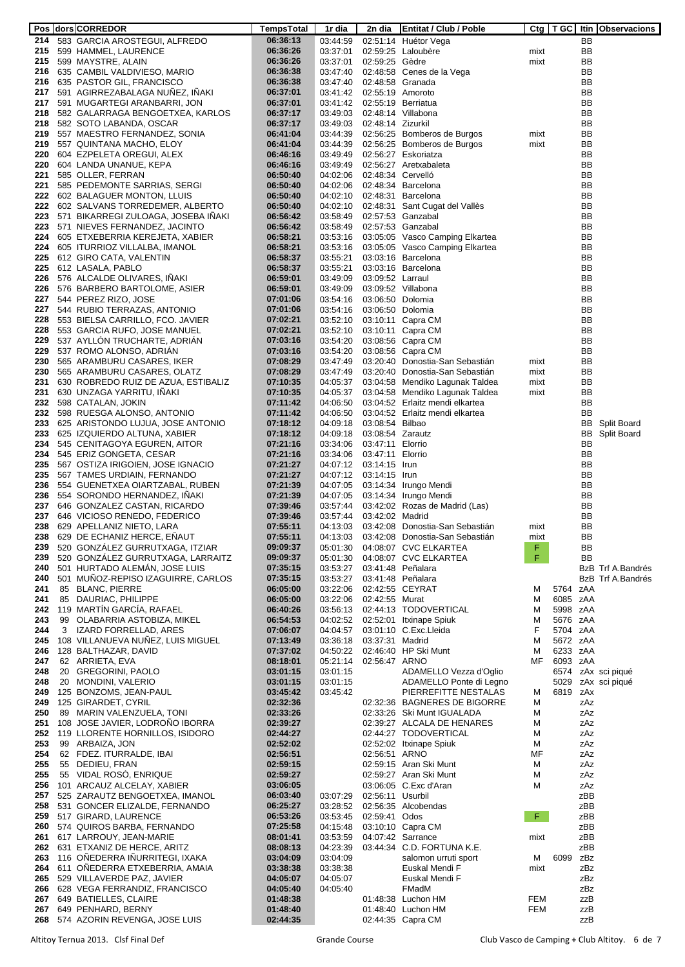|            |   | Pos dors CORREDOR                                                            | TempsTotal           | 1r dia               | 2n dia            | <b>Entitat / Club / Poble</b>                        |                   | $Ctg$ $TGC$ |            | Itin Observacions  |
|------------|---|------------------------------------------------------------------------------|----------------------|----------------------|-------------------|------------------------------------------------------|-------------------|-------------|------------|--------------------|
|            |   | 214 583 GARCIA AROSTEGUI, ALFREDO                                            | 06:36:13             | 03:44:59             |                   | 02:51:14 Huétor Vega                                 |                   |             | BB         |                    |
|            |   | 215 599 HAMMEL, LAURENCE                                                     | 06:36:26             | 03:37:01             |                   | 02:59:25 Laloubère                                   | mixt              |             | BB         |                    |
|            |   | 215 599 MAYSTRE, ALAIN                                                       | 06:36:26             | 03:37:01             | 02:59:25 Gèdre    |                                                      | mixt              |             | <b>BB</b>  |                    |
|            |   | 216 635 CAMBIL VALDIVIESO, MARIO                                             | 06:36:38             | 03:47:40             |                   | 02:48:58 Cenes de la Vega                            |                   |             | BB         |                    |
|            |   | 216 635 PASTOR GIL, FRANCISCO<br>217 591 AGIRREZABALAGA NUNEZ, INAKI         | 06:36:38<br>06:37:01 | 03:47:40<br>03:41:42 | 02:55:19 Amoroto  | 02:48:58 Granada                                     |                   |             | BB<br>BB   |                    |
|            |   | 217 591 MUGARTEGI ARANBARRI, JON                                             | 06:37:01             | 03:41:42             |                   | 02:55:19 Berriatua                                   |                   |             | BB         |                    |
|            |   | 218 582 GALARRAGA BENGOETXEA, KARLOS                                         | 06:37:17             | 03:49:03             |                   | 02:48:14 Villabona                                   |                   |             | BB         |                    |
|            |   | 218 582 SOTO LABANDA, OSCAR                                                  | 06:37:17             | 03:49:03             | 02:48:14 Zizurkil |                                                      |                   |             | BB         |                    |
|            |   | 219 557 MAESTRO FERNANDEZ, SONIA                                             | 06:41:04             | 03:44:39             |                   | 02:56:25 Bomberos de Burgos                          | mixt              |             | BB         |                    |
|            |   | 219 557 QUINTANA MACHO, ELOY                                                 | 06:41:04             | 03:44:39             |                   | 02:56:25 Bomberos de Burgos                          | mixt              |             | BB         |                    |
|            |   | 220 604 EZPELETA OREGUI, ALEX                                                | 06:46:16             | 03:49:49             |                   | 02:56:27 Eskoriatza                                  |                   |             | BB         |                    |
|            |   | 220 604 LANDA UNANUE, KEPA                                                   | 06:46:16             | 03:49:49             |                   | 02:56:27 Aretxabaleta                                |                   |             | BB         |                    |
|            |   | 221 585 OLLER, FERRAN                                                        | 06:50:40             | 04:02:06             | 02:48:34 Cervelló |                                                      |                   |             | BB         |                    |
|            |   | 221 585 PEDEMONTE SARRIAS, SERGI                                             | 06:50:40             | 04:02:06             |                   | 02:48:34 Barcelona                                   |                   |             | BB         |                    |
|            |   | 222 602 BALAGUER MONTON, LLUIS                                               | 06:50:40             | 04:02:10             |                   | 02:48:31 Barcelona                                   |                   |             | BB         |                    |
|            |   | 222 602 SALVANS TORREDEMER, ALBERTO                                          | 06:50:40             | 04:02:10             |                   | 02:48:31 Sant Cugat del Vallès                       |                   |             | BB         |                    |
|            |   | 223 571 BIKARREGI ZULOAGA, JOSEBA INAKI<br>223 571 NIEVES FERNANDEZ, JACINTO | 06:56:42             | 03:58:49<br>03:58:49 |                   | 02:57:53 Ganzabal<br>02:57:53 Ganzabal               |                   |             | BB<br>BB   |                    |
|            |   | 224 605 ETXEBERRIA KEREJETA, XABIER                                          | 06:56:42<br>06:58:21 | 03:53:16             |                   | 03:05:05 Vasco Camping Elkartea                      |                   |             | BB         |                    |
|            |   | 224 605 ITURRIOZ VILLALBA, IMANOL                                            | 06:58:21             |                      |                   | 03:53:16 03:05:05 Vasco Camping Elkartea             |                   |             | BB         |                    |
|            |   | 225 612 GIRO CATA, VALENTIN                                                  | 06:58:37             | 03:55:21             |                   | 03:03:16 Barcelona                                   |                   |             | BB         |                    |
|            |   | 225 612 LASALA, PABLO                                                        | 06:58:37             | 03:55:21             |                   | 03:03:16 Barcelona                                   |                   |             | BB         |                    |
|            |   | 226 576 ALCALDE OLIVARES, INAKI                                              | 06:59:01             | 03:49:09             | 03:09:52 Larraul  |                                                      |                   |             | BB         |                    |
|            |   | 226 576 BARBERO BARTOLOME, ASIER                                             | 06:59:01             | 03:49:09             |                   | 03:09:52 Villabona                                   |                   |             | BB         |                    |
|            |   | 227 544 PEREZ RIZO, JOSE                                                     | 07:01:06             | 03:54:16             | 03:06:50 Dolomia  |                                                      |                   |             | BB         |                    |
|            |   | 227 544 RUBIO TERRAZAS, ANTONIO                                              | 07:01:06             | 03:54:16             | 03:06:50 Dolomia  |                                                      |                   |             | BB         |                    |
|            |   | 228 553 BIELSA CARRILLO, FCO. JAVIER                                         | 07:02:21             | 03:52:10             |                   | 03:10:11 Capra CM                                    |                   |             | BB         |                    |
|            |   | 228 553 GARCIA RUFO, JOSE MANUEL                                             | 07:02:21             | 03:52:10             |                   | 03:10:11 Capra CM                                    |                   |             | BB         |                    |
|            |   | 229 537 AYLLÓN TRUCHARTE, ADRIAN                                             | 07:03:16             | 03:54:20<br>03:54:20 |                   | 03:08:56 Capra CM                                    |                   |             | BB         |                    |
|            |   | 229 537 ROMO ALONSO, ADRIAN<br>230 565 ARAMBURU CASARES, IKER                | 07:03:16<br>07:08:29 | 03:47:49             |                   | 03:08:56 Capra CM<br>03:20:40 Donostia-San Sebastián | mixt              |             | BB<br>BB   |                    |
|            |   | 230 565 ARAMBURU CASARES, OLATZ                                              | 07:08:29             | 03:47:49             |                   | 03:20:40 Donostia-San Sebastián                      | mixt              |             | BB         |                    |
|            |   | 231 630 ROBREDO RUIZ DE AZUA, ESTIBALIZ                                      | 07:10:35             | 04:05:37             |                   | 03:04:58 Mendiko Lagunak Taldea                      | mixt              |             | BB         |                    |
|            |   | 231 630 UNZAGA YARRITU, INAKI                                                | 07:10:35             | 04:05:37             |                   | 03:04:58 Mendiko Lagunak Taldea                      | mixt              |             | BB         |                    |
|            |   | 232 598 CATALAN, JOKIN                                                       | 07:11:42             | 04:06:50             |                   | 03:04:52 Erlaitz mendi elkartea                      |                   |             | BB         |                    |
|            |   | 232 598 RUESGA ALONSO, ANTONIO                                               | 07:11:42             | 04:06:50             |                   | 03:04:52 Erlaitz mendi elkartea                      |                   |             | BB         |                    |
|            |   | 233 625 ARISTONDO LUJUA, JOSE ANTONIO                                        | 07:18:12             | 04:09:18             | 03:08:54 Bilbao   |                                                      |                   |             | BB         | <b>Split Board</b> |
|            |   | 233 625 IZQUIERDO ALTUNA, XABIER                                             | 07:18:12             | 04:09:18             | 03:08:54 Zarautz  |                                                      |                   |             | BB         | Split Board        |
|            |   | 234 545 CENITAGOYA EGUREN, AITOR                                             | 07:21:16             | 03:34:06             | 03:47:11 Elorrio  |                                                      |                   |             | BB         |                    |
|            |   | 234 545 ERIZ GONGETA, CESAR                                                  | 07:21:16             | 03:34:06             | 03:47:11 Elorrio  |                                                      |                   |             | BB         |                    |
|            |   | 235 567 OSTIZA IRIGOIEN, JOSE IGNACIO                                        | 07:21:27<br>07:21:27 | 04:07:12             | 03:14:15 Irun     |                                                      |                   |             | BB<br>BB   |                    |
|            |   | 235 567 TAMES URDIAIN, FERNANDO<br>236 554 GUENETXEA OIARTZABAL, RUBEN       | 07:21:39             | 04:07:12<br>04:07:05 | 03:14:15 Irun     | 03:14:34 Irungo Mendi                                |                   |             | BB         |                    |
|            |   | 236 554 SORONDO HERNANDEZ, INAKI                                             | 07:21:39             | 04:07:05             |                   | 03:14:34 Irungo Mendi                                |                   |             | BB         |                    |
|            |   | 237 646 GONZALEZ CASTAN, RICARDO                                             | 07:39:46             | 03:57:44             |                   | 03:42:02 Rozas de Madrid (Las)                       |                   |             | BB         |                    |
|            |   | 237 646 VICIOSO RENEDO, FEDERICO                                             | 07:39:46             | 03:57:44             | 03:42:02 Madrid   |                                                      |                   |             | BB         |                    |
|            |   | 238 629 APELLANIZ NIETO, LARA                                                | 07:55:11             | 04:13:03             |                   | 03:42:08 Donostia-San Sebastián                      | mixt              |             | BB         |                    |
| 238        |   | 629 DE ECHANIZ HERCE, ENAUT                                                  | 07:55:11             | 04:13:03             |                   | 03:42:08 Donostia-San Sebastián                      | mixt              |             | BB         |                    |
| 239        |   | 520 GONZÁLEZ GURRUTXAGA, ITZIAR                                              | 09:09:37             | 05:01:30             |                   | 04:08:07 CVC ELKARTEA                                | F                 |             | BB         |                    |
| 239        |   | 520 GONZÁLEZ GURRUTXAGA, LARRAITZ                                            | 09:09:37             | 05:01:30             |                   | 04:08:07 CVC ELKARTEA                                | F                 |             | <b>BB</b>  |                    |
| 240        |   | 501 HURTADO ALEMAN, JOSE LUIS                                                | 07:35:15             | 03:53:27             |                   | 03:41:48 Peñalara                                    |                   |             |            | BzB Trf A.Bandrés  |
| 240<br>241 |   | 501 MUNOZ-REPISO IZAGUIRRE, CARLOS<br>85 BLANC, PIERRE                       | 07:35:15<br>06:05:00 | 03:53:27<br>03:22:06 |                   | 03:41:48 Peñalara<br>02:42:55 CEYRAT                 |                   | 5764 zAA    |            | BzB Trf A.Bandrés  |
| 241        |   | 85 DAURIAC, PHILIPPE                                                         | 06:05:00             | 03:22:06             | 02:42:55 Murat    |                                                      | м<br>м            | 6085 zAA    |            |                    |
| 242        |   | 119 MARTÍN GARCÍA, RAFAEL                                                    | 06:40:26             | 03:56:13             |                   | 02:44:13 TODOVERTICAL                                | м                 | 5998 zAA    |            |                    |
| 243        |   | 99 OLABARRIA ASTOBIZA, MIKEL                                                 | 06:54:53             | 04:02:52             |                   | 02:52:01 Itxinape Spiuk                              | M                 | 5676 zAA    |            |                    |
| 244        | 3 | IZARD FORRELLAD, ARES                                                        | 07:06:07             | 04:04:57             |                   | 03:01:10 C.Exc.Lleida                                | F                 | 5704 zAA    |            |                    |
| 245        |   | 108 VILLANUEVA NUNEZ, LUIS MIGUEL                                            | 07:13:49             | 03:36:18             | 03:37:31 Madrid   |                                                      | M                 | 5672 zAA    |            |                    |
| 246        |   | 128 BALTHAZAR, DAVID                                                         | 07:37:02             | 04:50:22             |                   | 02:46:40 HP Ski Munt                                 | м                 | 6233 zAA    |            |                    |
| 247        |   | 62 ARRIETA, EVA                                                              | 08:18:01             | 05:21:14             | 02:56:47 ARNO     |                                                      | MF                | 6093 zAA    |            |                    |
| 248        |   | 20 GREGORINI, PAOLO                                                          | 03:01:15             | 03:01:15             |                   | ADAMELLO Vezza d'Oglio                               |                   |             |            | 6574 zAx sci piqué |
| 248<br>249 |   | 20 MONDINI, VALERIO<br>125 BONZOMS, JEAN-PAUL                                | 03:01:15<br>03:45:42 | 03:01:15<br>03:45:42 |                   | ADAMELLO Ponte di Legno<br>PIERREFITTE NESTALAS      | Μ                 | 6819 zAx    |            | 5029 zAx sci piqué |
|            |   | 249 125 GIRARDET, CYRIL                                                      | 02:32:36             |                      |                   | 02:32:36 BAGNERES DE BIGORRE                         | Μ                 |             | zAz        |                    |
| 250        |   | 89 MARIN VALENZUELA, TONI                                                    | 02:33:26             |                      |                   | 02:33:26 Ski Munt IGUALADA                           | М                 |             | zAz        |                    |
| 251        |   | 108 JOSE JAVIER, LODRONO IBORRA                                              | 02:39:27             |                      |                   | 02:39:27 ALCALA DE HENARES                           | M                 |             | zAz        |                    |
|            |   | 252 119 LLORENTE HORNILLOS, ISIDORO                                          | 02:44:27             |                      |                   | 02:44:27 TODOVERTICAL                                | M                 |             | zAz        |                    |
| 253        |   | 99 ARBAIZA, JON                                                              | 02:52:02             |                      |                   | 02:52:02 Itxinape Spiuk                              | м                 |             | zAz        |                    |
| 254        |   | 62 FDEZ. ITURRALDE, IBAI                                                     | 02:56:51             |                      | 02:56:51 ARNO     |                                                      | ΜF                |             | zAz        |                    |
| 255        |   | 55 DEDIEU, FRAN                                                              | 02:59:15             |                      |                   | 02:59:15 Aran Ski Munt                               | M                 |             | zAz        |                    |
| 255        |   | 55 VIDAL ROSO, ENRIQUE                                                       | 02:59:27             |                      |                   | 02:59:27 Aran Ski Munt                               | M                 |             | zAz        |                    |
|            |   | 256 101 ARCAUZ ALCELAY, XABIER                                               | 03:06:05             |                      |                   | 03:06:05 C.Exc d'Aran                                | M                 |             | zAz        |                    |
| 257<br>258 |   | 525 ZARAUTZ BENGOETXEA, IMANOL<br>531 GONCER ELIZALDE, FERNANDO              | 06:03:40<br>06:25:27 | 03:07:29<br>03:28:52 | 02:56:11 Usurbil  | 02:56:35 Alcobendas                                  |                   |             | zBB<br>zBB |                    |
| 259        |   | 517 GIRARD, LAURENCE                                                         | 06:53:26             | 03:53:45             | 02:59:41 Odos     |                                                      | F.                |             | zBB        |                    |
|            |   | 260 574 QUIROS BARBA, FERNANDO                                               | 07:25:58             | 04:15:48             |                   | 03:10:10 Capra CM                                    |                   |             | zBB        |                    |
|            |   | 261 617 LARROUY, JEAN-MARIE                                                  | 08:01:41             | 03:53:59             |                   | 04:07:42 Sarrance                                    | mixt              |             | zBB        |                    |
|            |   | 262 631 ETXANIZ DE HERCE, ARITZ                                              | 08:08:13             | 04:23:39             |                   | 03:44:34 C.D. FORTUNA K.E.                           |                   |             | zBB        |                    |
| 263        |   | 116 OÑEDERRA IÑURRITEGI, IXAKA                                               | 03:04:09             | 03:04:09             |                   | salomon urruti sport                                 | M                 | 6099 zBz    |            |                    |
|            |   | 264 611 OÑEDERRA ETXEBERRIA, AMAIA                                           | 03:38:38             | 03:38:38             |                   | Euskal Mendi F                                       | mixt              |             | zBz        |                    |
|            |   | 265 529 VILLAVERDE PAZ, JAVIER                                               | 04:05:07             | 04:05:07             |                   | Euskal Mendi F                                       |                   |             | zBz        |                    |
|            |   | 266 628 VEGA FERRANDIZ, FRANCISCO                                            | 04:05:40             | 04:05:40             |                   | FMadM                                                |                   |             | zBz        |                    |
| 267<br>267 |   | 649 BATIELLES, CLAIRE<br>649 PENHARD, BERNY                                  | 01:48:38<br>01:48:40 |                      |                   | 01:48:38 Luchon HM                                   | FEM<br><b>FEM</b> |             | zzB        |                    |
|            |   | 268 574 AZORIN REVENGA, JOSE LUIS                                            | 02:44:35             |                      |                   | 01:48:40 Luchon HM<br>02:44:35 Capra CM              |                   |             | zzB<br>zzB |                    |
|            |   |                                                                              |                      |                      |                   |                                                      |                   |             |            |                    |